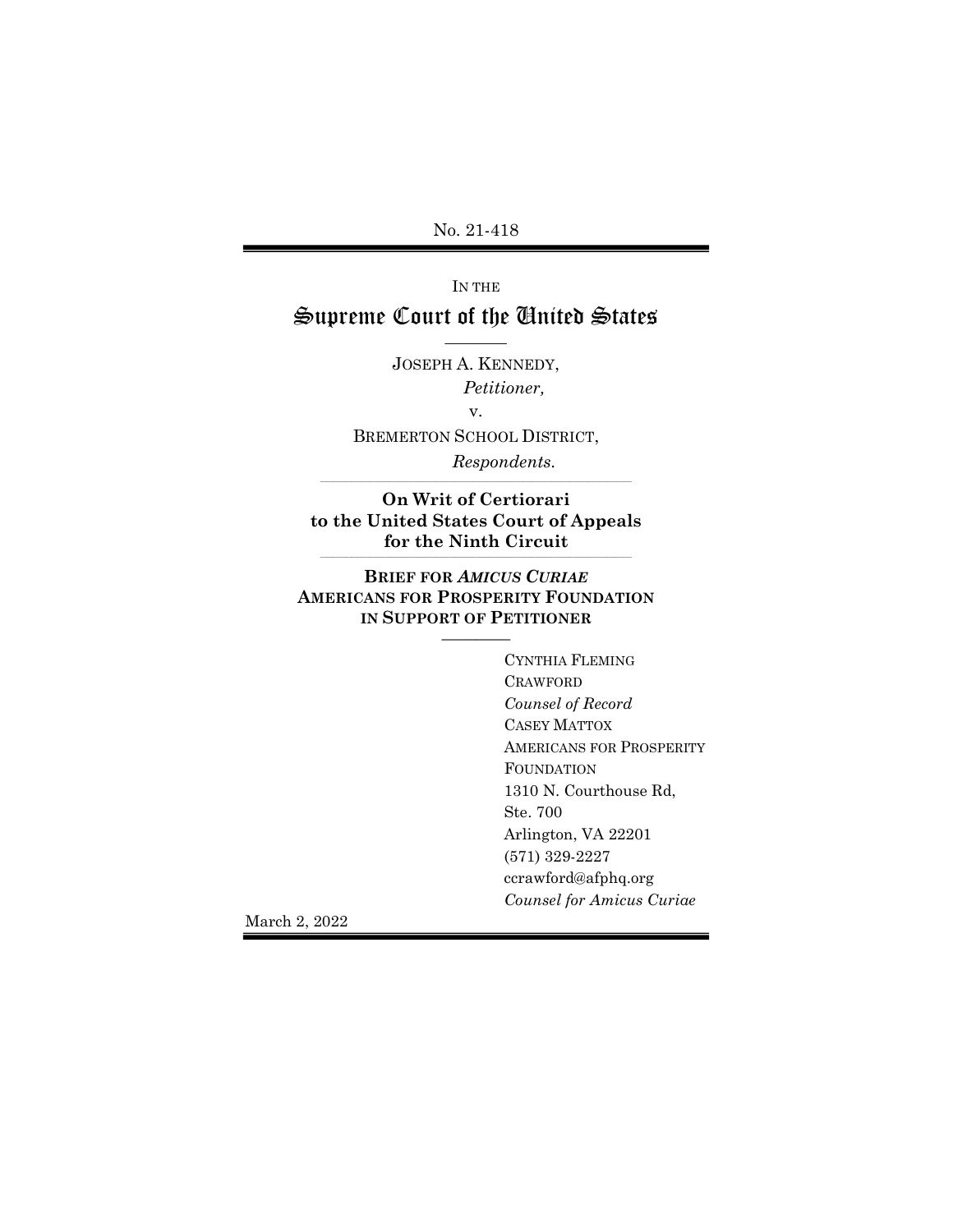No. 21-418

IN THE

## Supreme Court of the United States ————

JOSEPH A. KENNEDY, Petitioner,

v.

BREMERTON SCHOOL DISTRICT,

Respondents.

On Writ of Certiorari to the United States Court of Appeals for the Ninth Circuit

\_\_\_\_\_\_\_\_\_\_\_\_\_\_\_\_\_\_\_\_\_\_\_\_\_\_\_\_\_\_\_\_\_\_\_\_\_\_\_\_\_\_\_\_\_\_\_\_\_\_\_\_\_\_\_\_\_\_\_\_\_\_\_\_\_\_\_\_\_\_\_\_\_\_\_\_\_\_\_\_\_\_\_\_\_\_\_\_\_\_\_\_\_\_\_\_\_\_\_\_

\_\_\_\_\_\_\_\_\_\_\_\_\_\_\_\_\_\_\_\_\_\_\_\_\_\_\_\_\_\_\_\_\_\_\_\_\_\_\_\_\_\_\_\_\_\_\_\_\_\_\_\_\_\_\_\_\_\_\_\_\_\_\_\_\_\_\_\_\_\_\_\_\_\_\_\_\_\_\_\_\_\_\_\_\_\_\_\_\_\_\_\_\_\_\_\_\_\_\_\_

### BRIEF FOR AMICUS CURIAE AMERICANS FOR PROSPERITY FOUNDATION IN SUPPORT OF PETITIONER

————

CYNTHIA FLEMING CRAWFORD Counsel of Record CASEY MATTOX AMERICANS FOR PROSPERITY FOUNDATION 1310 N. Courthouse Rd, Ste. 700 Arlington, VA 22201 (571) 329-2227 ccrawford@afphq.org Counsel for Amicus Curiae

March 2, 2022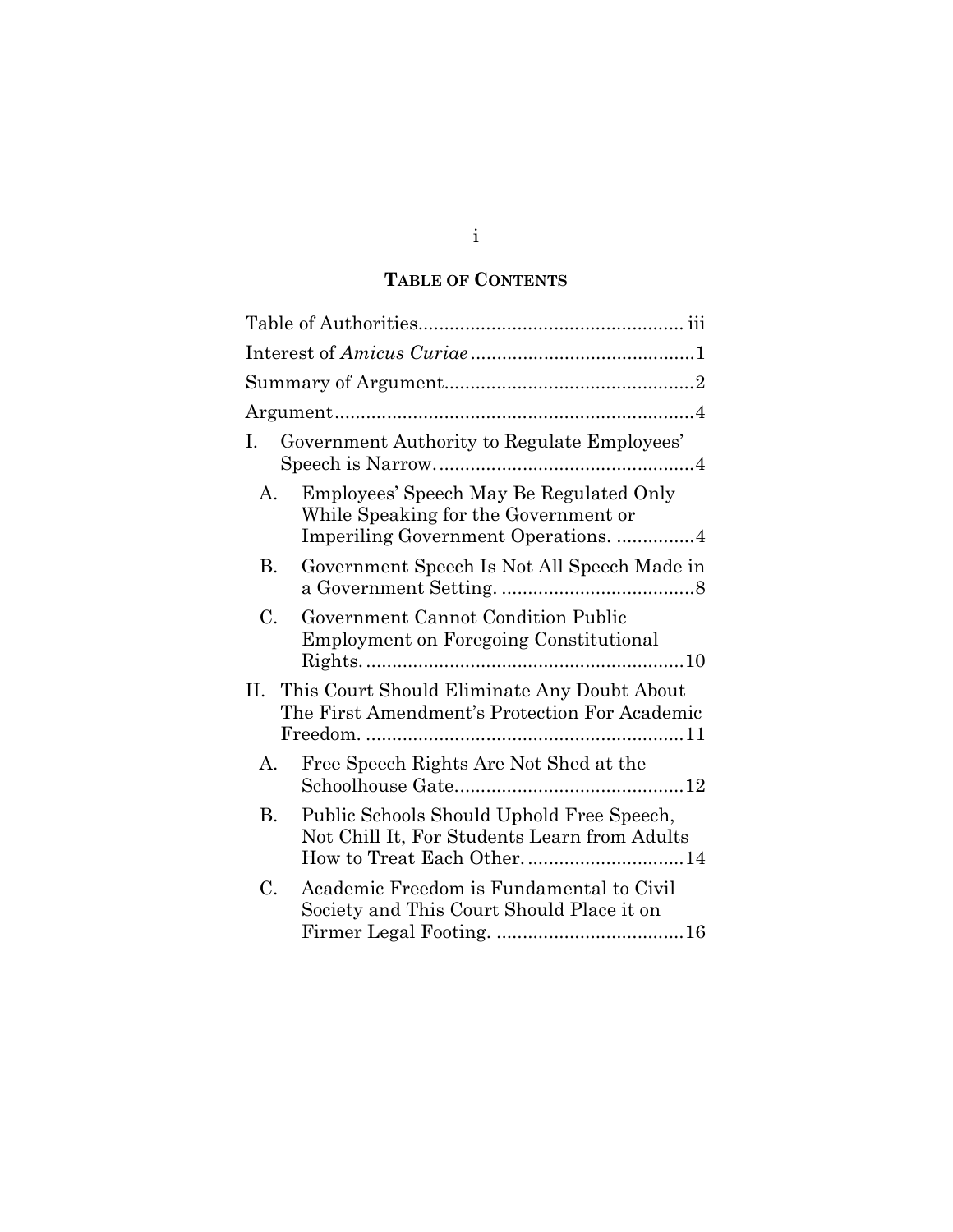## TABLE OF CONTENTS

| I.<br>Government Authority to Regulate Employees'                                                                                     |
|---------------------------------------------------------------------------------------------------------------------------------------|
| Employees' Speech May Be Regulated Only<br>$A_{\cdot}$<br>While Speaking for the Government or<br>Imperiling Government Operations. 4 |
| Government Speech Is Not All Speech Made in<br>В.                                                                                     |
| C.<br>Government Cannot Condition Public<br><b>Employment on Foregoing Constitutional</b>                                             |
| This Court Should Eliminate Any Doubt About<br>П.<br>The First Amendment's Protection For Academic                                    |
| Free Speech Rights Are Not Shed at the<br>А.                                                                                          |
| В.<br>Public Schools Should Uphold Free Speech,<br>Not Chill It, For Students Learn from Adults<br>How to Treat Each Other14          |
| C.<br>Academic Freedom is Fundamental to Civil<br>Society and This Court Should Place it on                                           |

i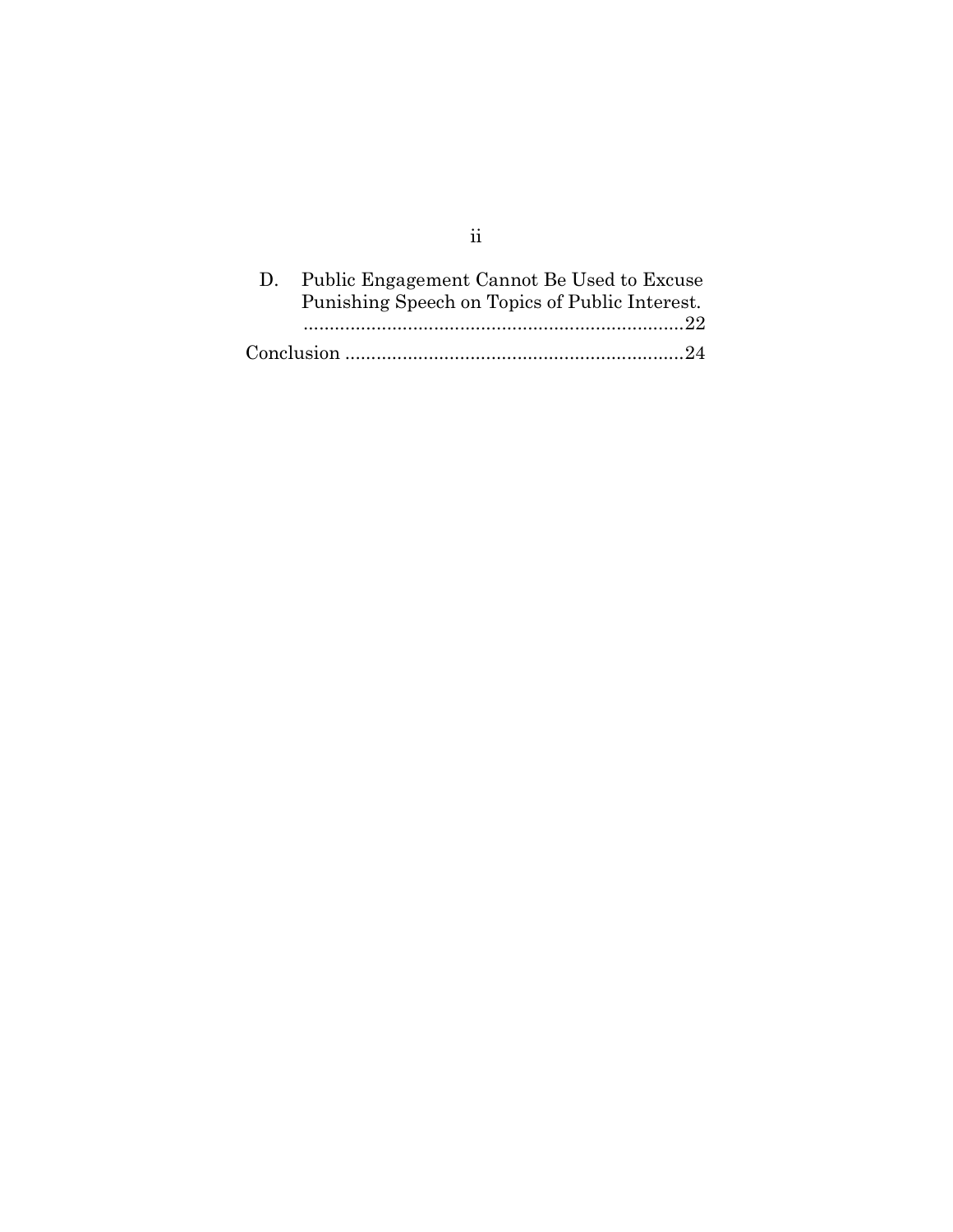|  | D. Public Engagement Cannot Be Used to Excuse<br>Punishing Speech on Topics of Public Interest. |
|--|-------------------------------------------------------------------------------------------------|
|  |                                                                                                 |

ii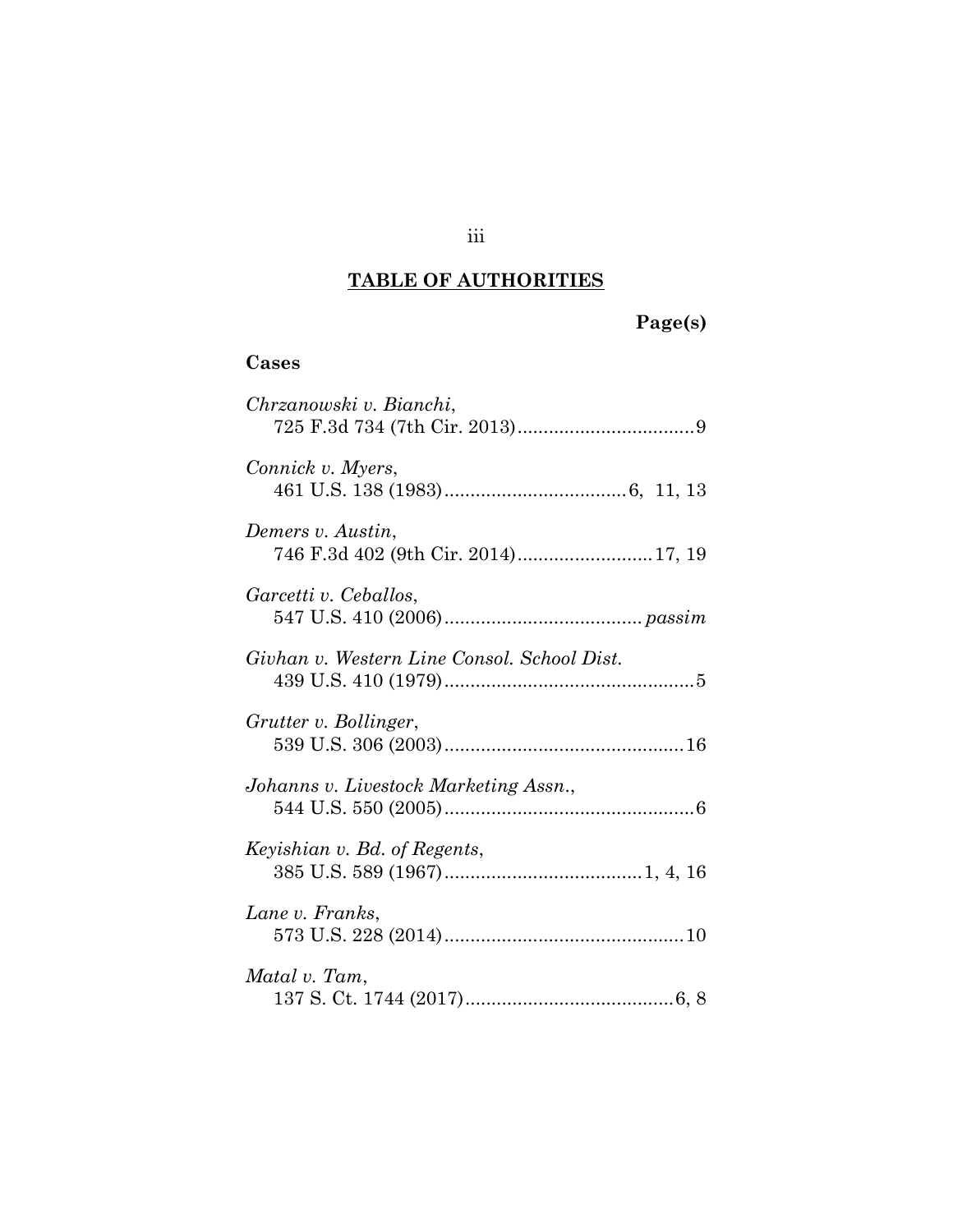## TABLE OF AUTHORITIES

# Page(s)

## Cases

| Chrzanowski v. Bianchi,                                  |
|----------------------------------------------------------|
| Connick v. Myers,                                        |
| Demers v. Austin,<br>746 F.3d 402 (9th Cir. 2014) 17, 19 |
| Garcetti v. Ceballos,                                    |
| Givhan v. Western Line Consol. School Dist.              |
| Grutter v. Bollinger,                                    |
| Johanns v. Livestock Marketing Assn.,                    |
| Keyishian v. Bd. of Regents,                             |
| Lane v. Franks,                                          |
| Matal v. Tam,                                            |

### iii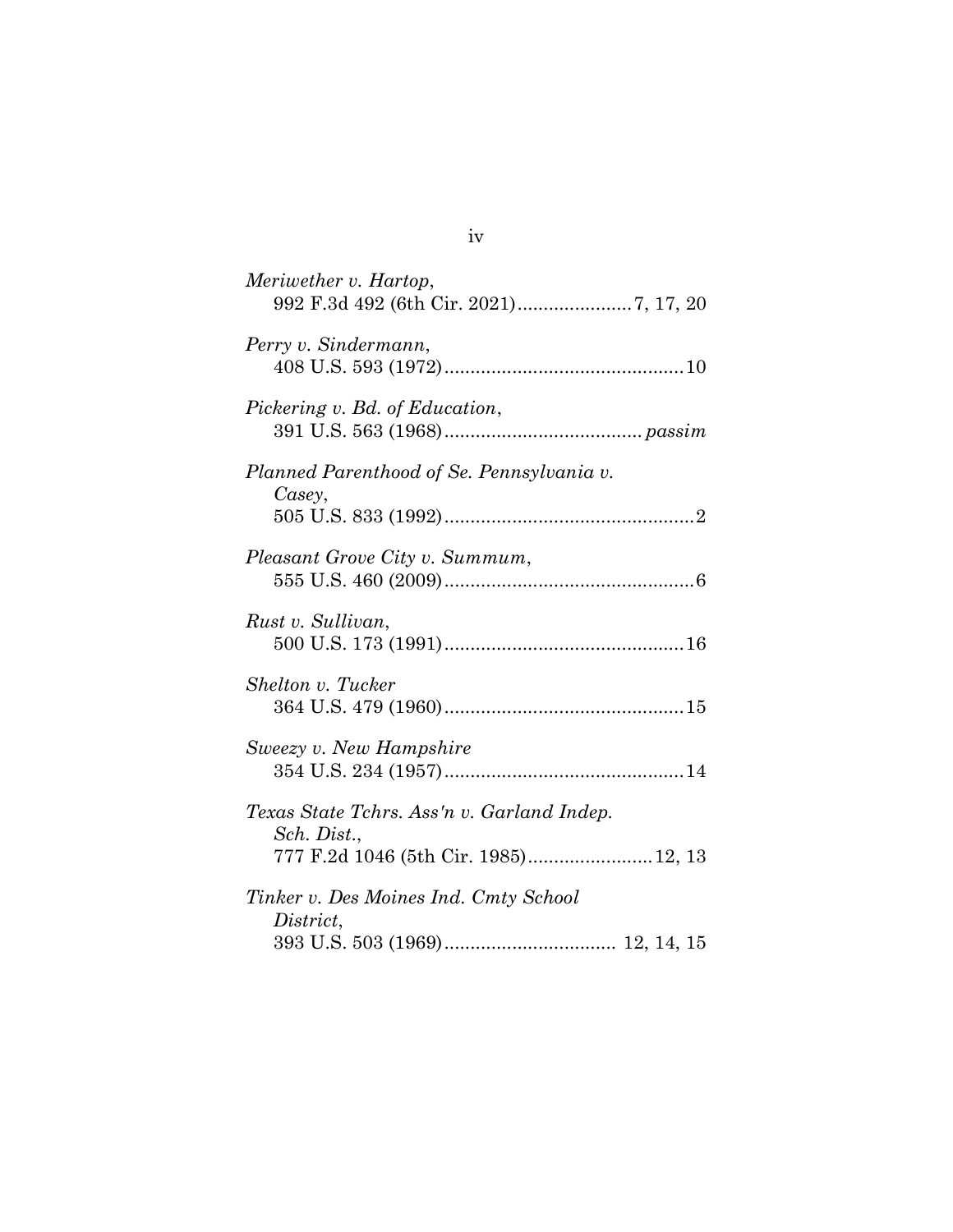| Meriwether v. Hartop,                                     |
|-----------------------------------------------------------|
| Perry v. Sindermann,                                      |
| Pickering v. Bd. of Education,                            |
| Planned Parenthood of Se. Pennsylvania v.<br>Casey,       |
|                                                           |
| Pleasant Grove City v. Summum,                            |
| Rust v. Sullivan,                                         |
| Shelton v. Tucker                                         |
| Sweezy v. New Hampshire                                   |
| Texas State Tchrs. Ass'n v. Garland Indep.<br>Sch. Dist., |
| 777 F.2d 1046 (5th Cir. 1985)12, 13                       |
| Tinker v. Des Moines Ind. Cmty School<br>District,        |
|                                                           |

iv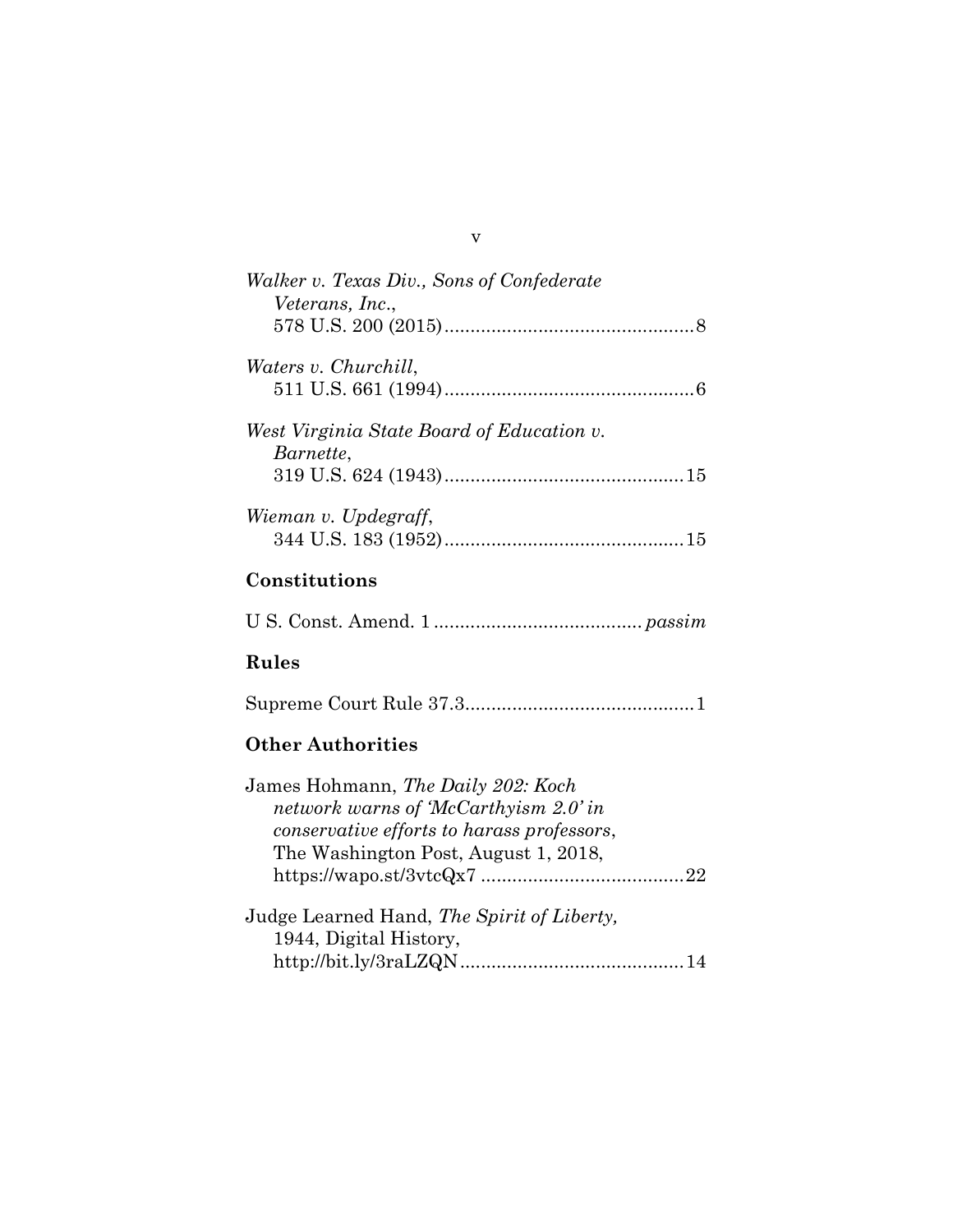| Walker v. Texas Div., Sons of Confederate              |
|--------------------------------------------------------|
| <i>Veterans, Inc.,</i>                                 |
|                                                        |
| <i>Waters v. Churchill,</i>                            |
|                                                        |
| West Virginia State Board of Education v.<br>Barnette, |
|                                                        |
| Wieman v. Updegraff,                                   |
|                                                        |
| Constitutions                                          |

U S. Const. Amend. 1 ........................................ passim

## Rules

Supreme Court Rule 37.3 ............................................ 1

## Other Authorities

| James Hohmann, The Daily 202: Koch         |  |
|--------------------------------------------|--|
| network warns of McCarthyism 2.0' in       |  |
| conservative efforts to harass professors, |  |
| The Washington Post, August 1, 2018,       |  |
|                                            |  |
| Judge Learned Hand, The Spirit of Liberty, |  |
| 1944, Digital History,                     |  |
|                                            |  |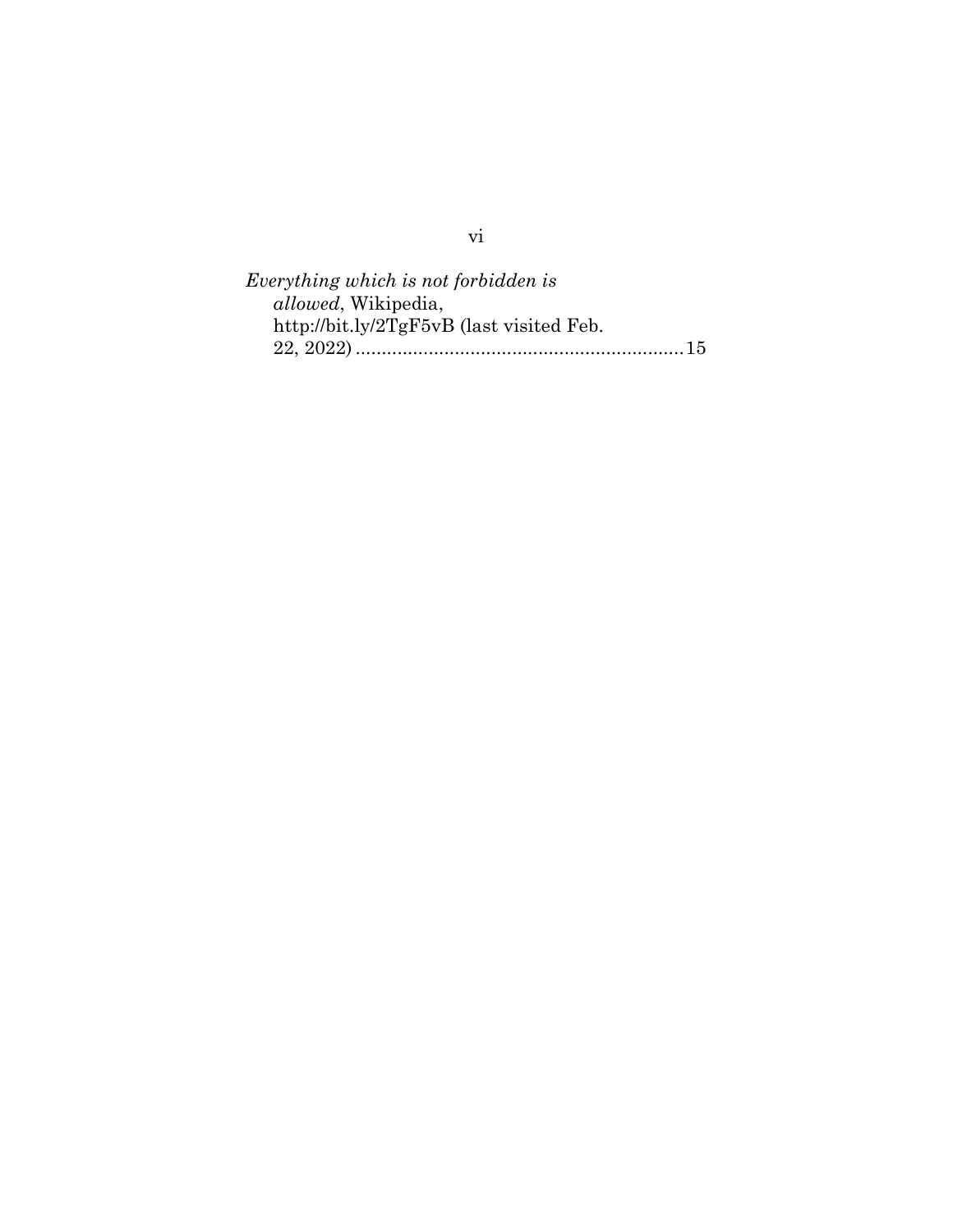Everything which is not forbidden is allowed, Wikipedia, http://bit.ly/2TgF5vB (last visited Feb. 22, 2022) ............................................................... 15

vi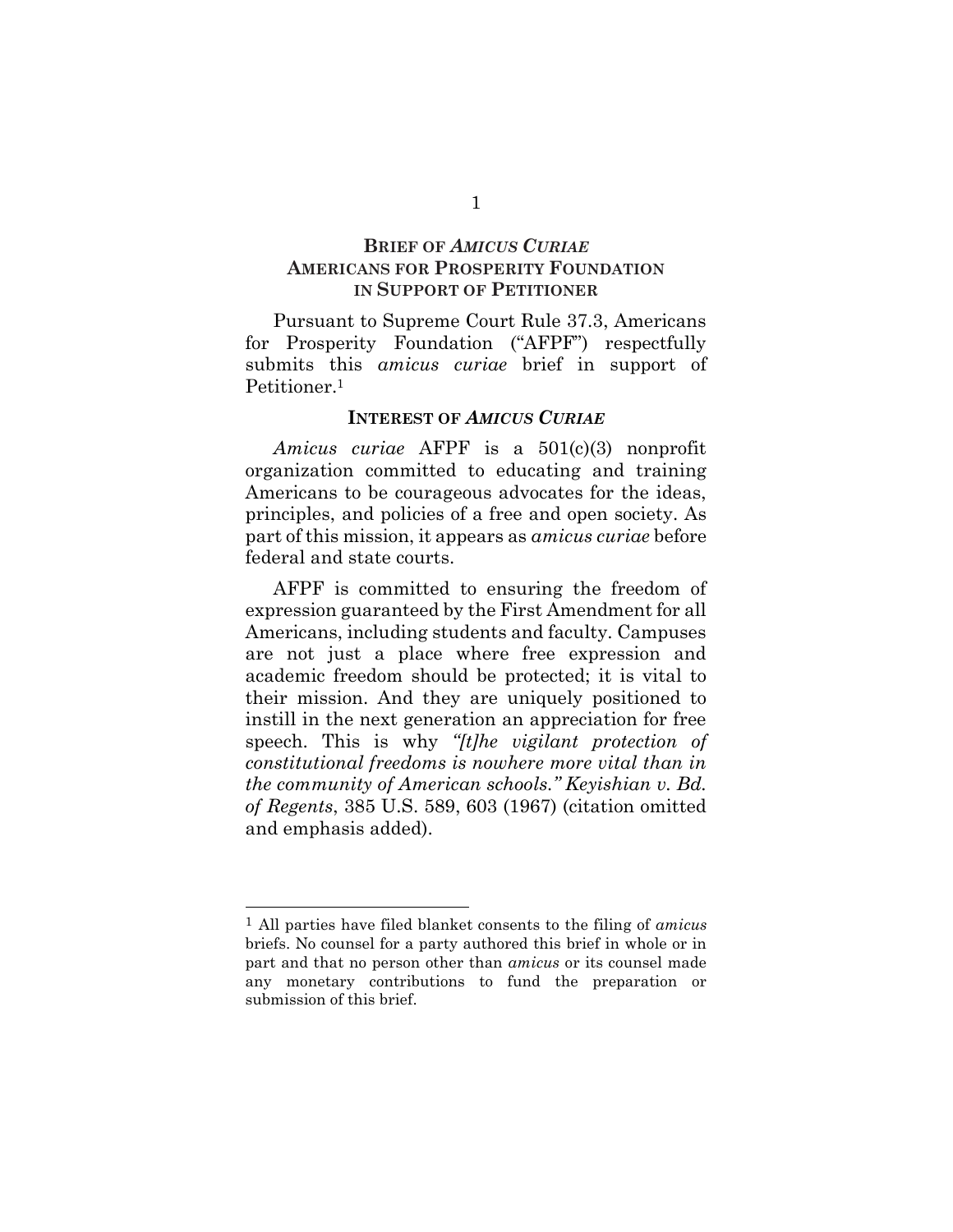### BRIEF OF AMICUS CURIAE AMERICANS FOR PROSPERITY FOUNDATION IN SUPPORT OF PETITIONER

Pursuant to Supreme Court Rule 37.3, Americans for Prosperity Foundation ("AFPF") respectfully submits this *amicus curiae* brief in support of Petitioner.<sup>1</sup>

#### INTEREST OF AMICUS CURIAE

Amicus curiae AFPF is a 501(c)(3) nonprofit organization committed to educating and training Americans to be courageous advocates for the ideas, principles, and policies of a free and open society. As part of this mission, it appears as amicus curiae before federal and state courts.

AFPF is committed to ensuring the freedom of expression guaranteed by the First Amendment for all Americans, including students and faculty. Campuses are not just a place where free expression and academic freedom should be protected; it is vital to their mission. And they are uniquely positioned to instill in the next generation an appreciation for free speech. This is why "[t]he vigilant protection of constitutional freedoms is nowhere more vital than in the community of American schools." Keyishian v. Bd. of Regents, 385 U.S. 589, 603 (1967) (citation omitted and emphasis added).

 $<sup>1</sup>$  All parties have filed blanket consents to the filing of *amicus*</sup> briefs. No counsel for a party authored this brief in whole or in part and that no person other than amicus or its counsel made any monetary contributions to fund the preparation or submission of this brief.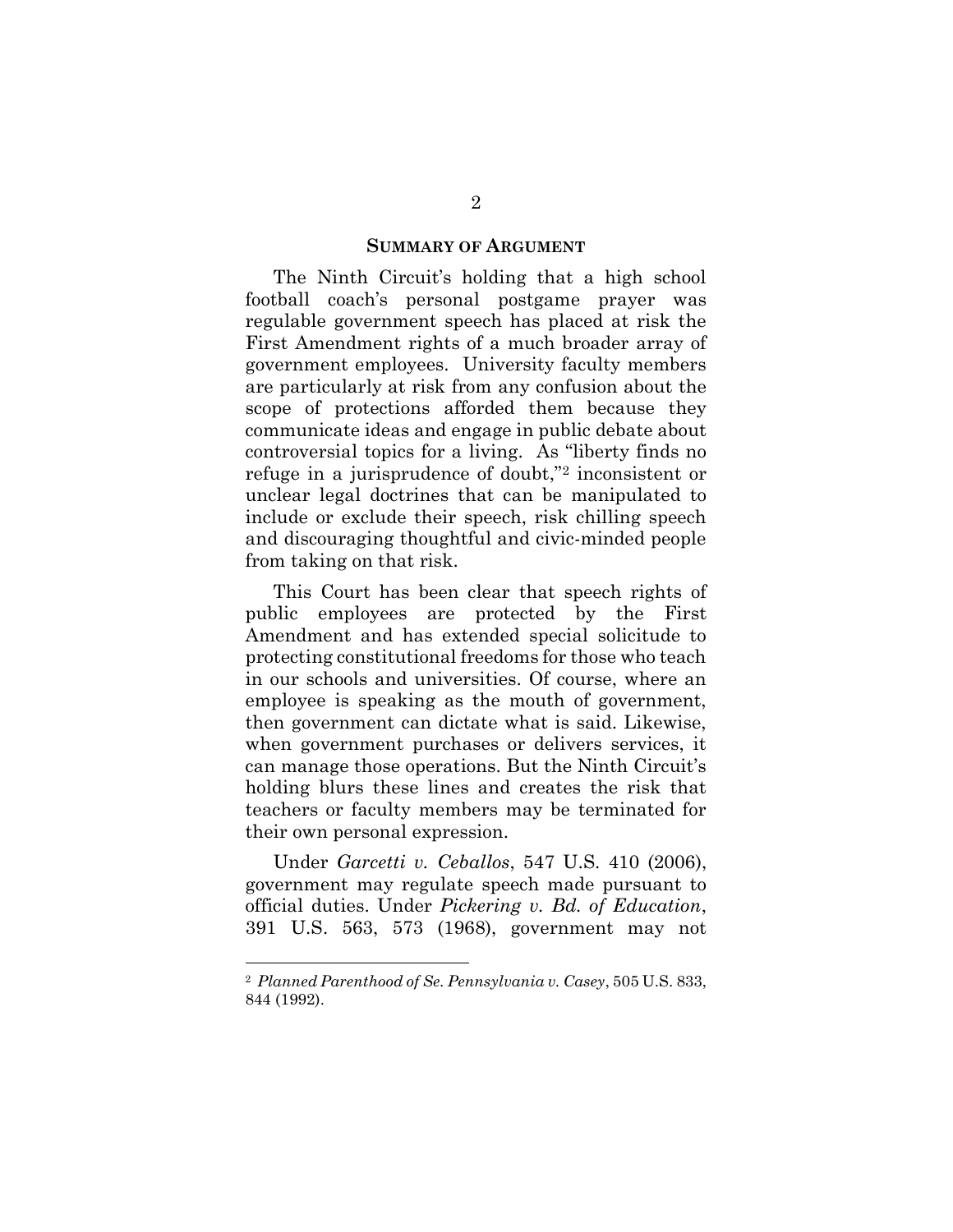#### SUMMARY OF ARGUMENT

The Ninth Circuit's holding that a high school football coach's personal postgame prayer was regulable government speech has placed at risk the First Amendment rights of a much broader array of government employees. University faculty members are particularly at risk from any confusion about the scope of protections afforded them because they communicate ideas and engage in public debate about controversial topics for a living. As "liberty finds no refuge in a jurisprudence of doubt,"2 inconsistent or unclear legal doctrines that can be manipulated to include or exclude their speech, risk chilling speech and discouraging thoughtful and civic-minded people from taking on that risk.

This Court has been clear that speech rights of public employees are protected by the First Amendment and has extended special solicitude to protecting constitutional freedoms for those who teach in our schools and universities. Of course, where an employee is speaking as the mouth of government, then government can dictate what is said. Likewise, when government purchases or delivers services, it can manage those operations. But the Ninth Circuit's holding blurs these lines and creates the risk that teachers or faculty members may be terminated for their own personal expression.

Under Garcetti v. Ceballos, 547 U.S. 410 (2006), government may regulate speech made pursuant to official duties. Under Pickering v. Bd. of Education, 391 U.S. 563, 573 (1968), government may not

<sup>2</sup> Planned Parenthood of Se. Pennsylvania v. Casey, 505 U.S. 833, 844 (1992).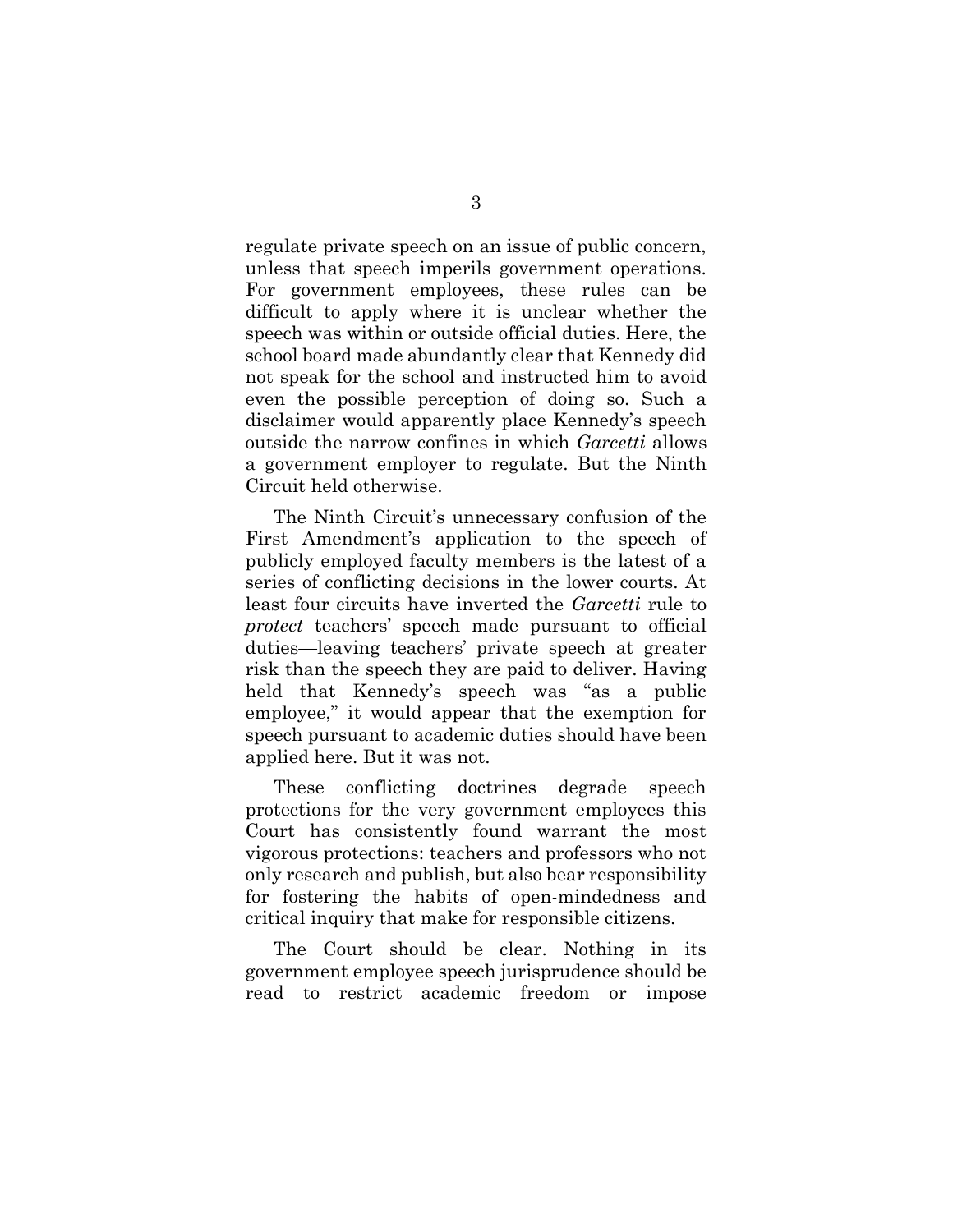regulate private speech on an issue of public concern, unless that speech imperils government operations. For government employees, these rules can be difficult to apply where it is unclear whether the speech was within or outside official duties. Here, the school board made abundantly clear that Kennedy did not speak for the school and instructed him to avoid even the possible perception of doing so. Such a disclaimer would apparently place Kennedy's speech outside the narrow confines in which Garcetti allows a government employer to regulate. But the Ninth Circuit held otherwise.

The Ninth Circuit's unnecessary confusion of the First Amendment's application to the speech of publicly employed faculty members is the latest of a series of conflicting decisions in the lower courts. At least four circuits have inverted the *Garcetti* rule to protect teachers' speech made pursuant to official duties—leaving teachers' private speech at greater risk than the speech they are paid to deliver. Having held that Kennedy's speech was "as a public employee," it would appear that the exemption for speech pursuant to academic duties should have been applied here. But it was not.

These conflicting doctrines degrade speech protections for the very government employees this Court has consistently found warrant the most vigorous protections: teachers and professors who not only research and publish, but also bear responsibility for fostering the habits of open-mindedness and critical inquiry that make for responsible citizens.

The Court should be clear. Nothing in its government employee speech jurisprudence should be read to restrict academic freedom or impose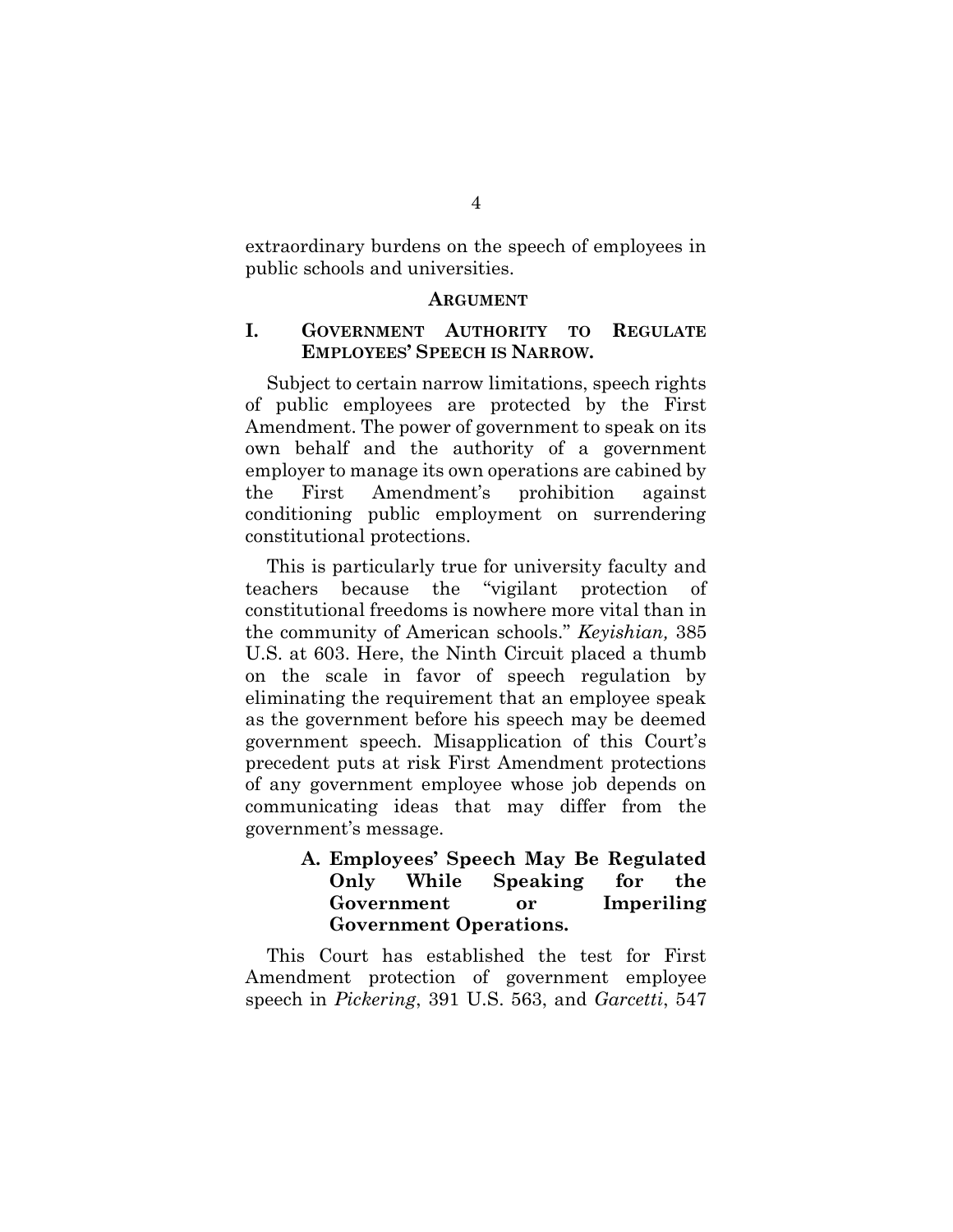extraordinary burdens on the speech of employees in public schools and universities.

#### ARGUMENT

### I. GOVERNMENT AUTHORITY TO REGULATE EMPLOYEES' SPEECH IS NARROW.

Subject to certain narrow limitations, speech rights of public employees are protected by the First Amendment. The power of government to speak on its own behalf and the authority of a government employer to manage its own operations are cabined by the First Amendment's prohibition against conditioning public employment on surrendering constitutional protections.

This is particularly true for university faculty and teachers because the "vigilant protection of constitutional freedoms is nowhere more vital than in the community of American schools." Keyishian, 385 U.S. at 603. Here, the Ninth Circuit placed a thumb on the scale in favor of speech regulation by eliminating the requirement that an employee speak as the government before his speech may be deemed government speech. Misapplication of this Court's precedent puts at risk First Amendment protections of any government employee whose job depends on communicating ideas that may differ from the government's message.

### A. Employees' Speech May Be Regulated Only While Speaking for the Government or Imperiling Government Operations.

This Court has established the test for First Amendment protection of government employee speech in Pickering, 391 U.S. 563, and Garcetti, 547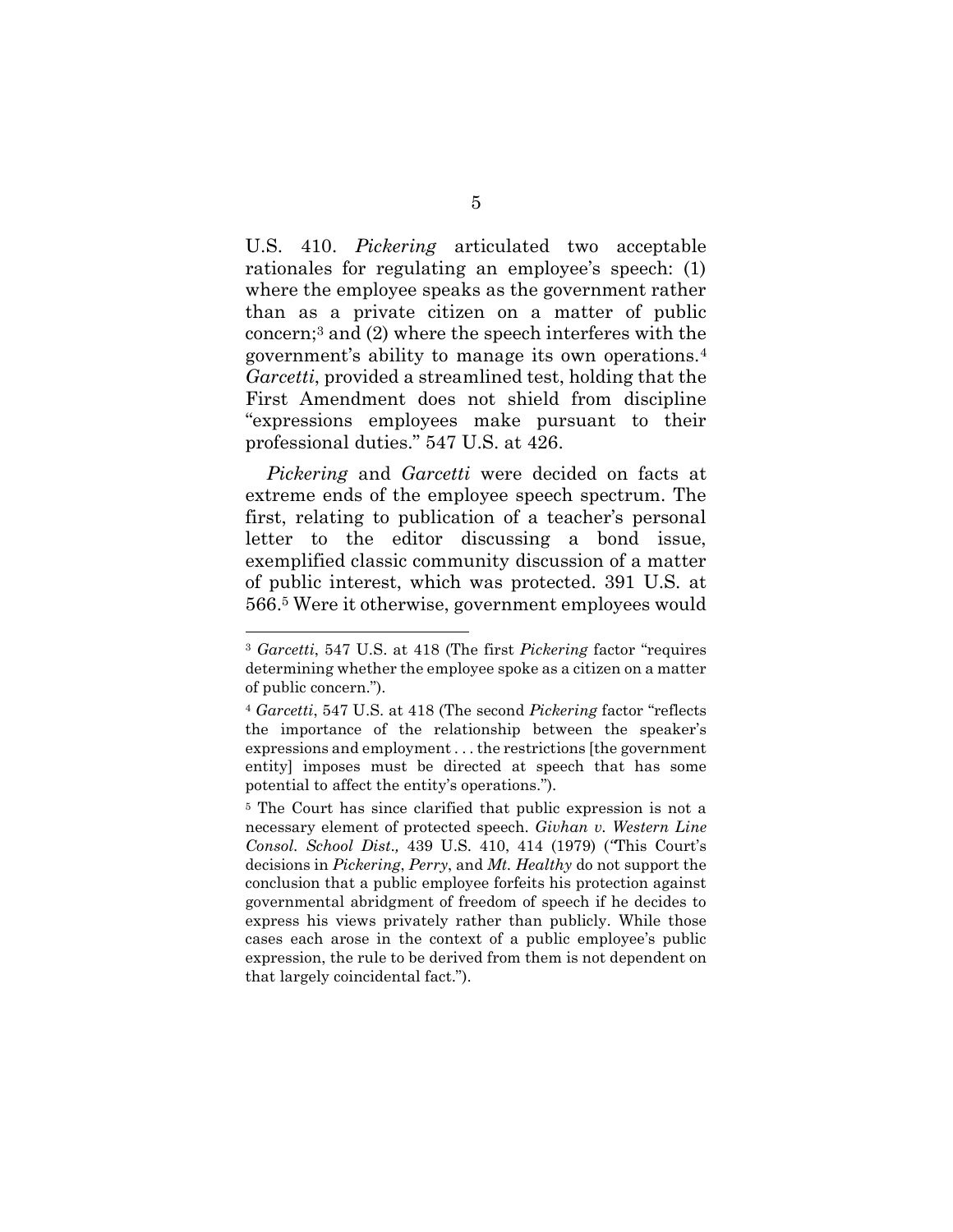U.S. 410. Pickering articulated two acceptable rationales for regulating an employee's speech: (1) where the employee speaks as the government rather than as a private citizen on a matter of public concern;3 and (2) where the speech interferes with the government's ability to manage its own operations.<sup>4</sup> Garcetti, provided a streamlined test, holding that the First Amendment does not shield from discipline "expressions employees make pursuant to their professional duties." 547 U.S. at 426.

Pickering and Garcetti were decided on facts at extreme ends of the employee speech spectrum. The first, relating to publication of a teacher's personal letter to the editor discussing a bond issue, exemplified classic community discussion of a matter of public interest, which was protected. 391 U.S. at 566.5 Were it otherwise, government employees would

<sup>&</sup>lt;sup>3</sup> Garcetti, 547 U.S. at 418 (The first Pickering factor "requires" determining whether the employee spoke as a citizen on a matter of public concern.").

<sup>&</sup>lt;sup>4</sup> Garcetti, 547 U.S. at 418 (The second Pickering factor "reflects" the importance of the relationship between the speaker's expressions and employment . . . the restrictions [the government entity] imposes must be directed at speech that has some potential to affect the entity's operations.").

<sup>5</sup> The Court has since clarified that public expression is not a necessary element of protected speech. Givhan v. Western Line Consol. School Dist., 439 U.S. 410, 414 (1979) ("This Court's decisions in Pickering, Perry, and Mt. Healthy do not support the conclusion that a public employee forfeits his protection against governmental abridgment of freedom of speech if he decides to express his views privately rather than publicly. While those cases each arose in the context of a public employee's public expression, the rule to be derived from them is not dependent on that largely coincidental fact.").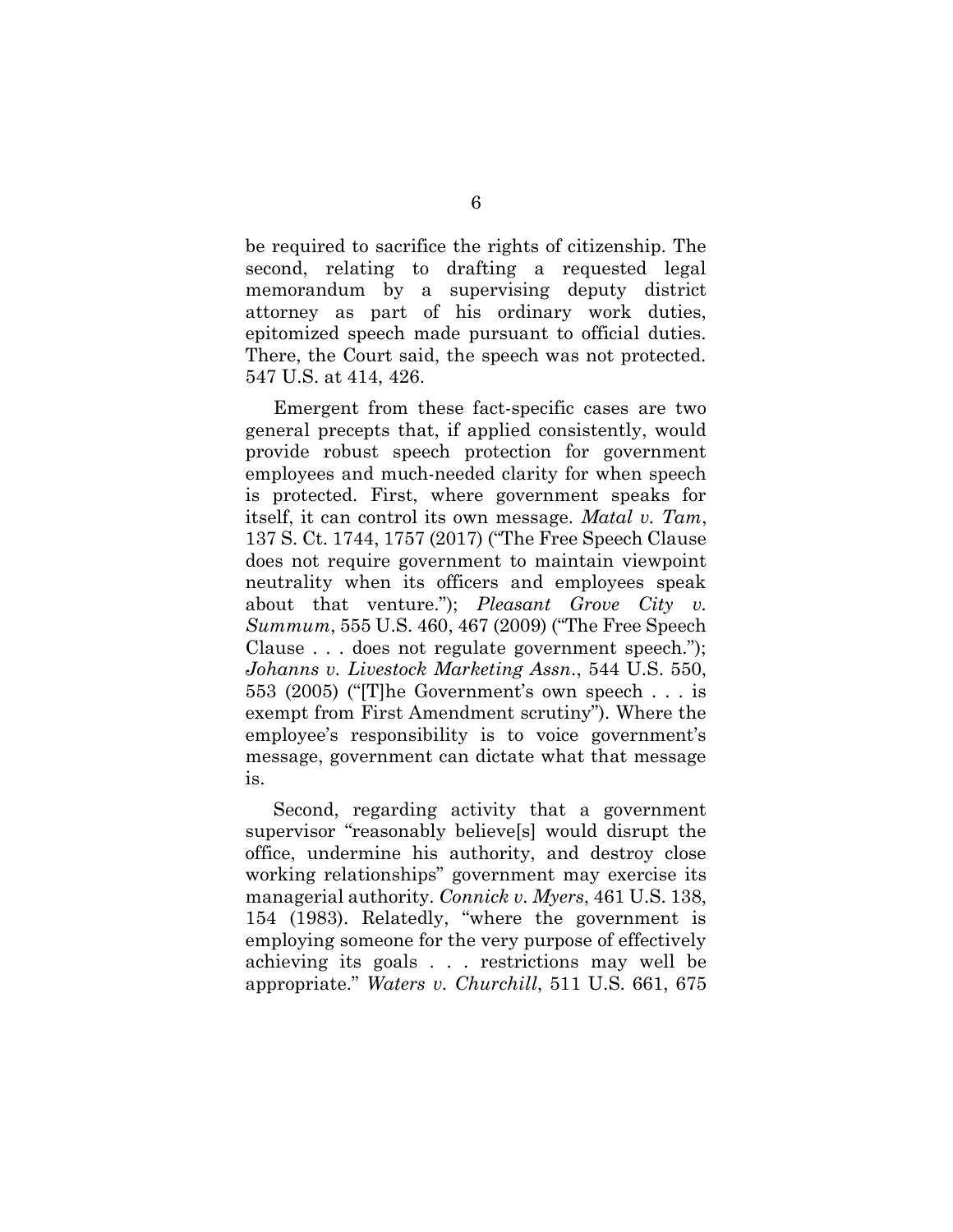be required to sacrifice the rights of citizenship. The second, relating to drafting a requested legal memorandum by a supervising deputy district attorney as part of his ordinary work duties, epitomized speech made pursuant to official duties. There, the Court said, the speech was not protected. 547 U.S. at 414, 426.

Emergent from these fact-specific cases are two general precepts that, if applied consistently, would provide robust speech protection for government employees and much-needed clarity for when speech is protected. First, where government speaks for itself, it can control its own message. Matal v. Tam, 137 S. Ct. 1744, 1757 (2017) ("The Free Speech Clause does not require government to maintain viewpoint neutrality when its officers and employees speak about that venture.");  $Pleaseant$  Grove City v. Summum, 555 U.S. 460, 467 (2009) ("The Free Speech Clause . . . does not regulate government speech."); Johanns v. Livestock Marketing Assn., 544 U.S. 550, 553 (2005) ("[T]he Government's own speech . . . is exempt from First Amendment scrutiny"). Where the employee's responsibility is to voice government's message, government can dictate what that message is.

Second, regarding activity that a government supervisor "reasonably believe[s] would disrupt the office, undermine his authority, and destroy close working relationships" government may exercise its managerial authority. Connick v. Myers, 461 U.S. 138, 154 (1983). Relatedly, "where the government is employing someone for the very purpose of effectively achieving its goals . . . restrictions may well be appropriate." Waters v. Churchill, 511 U.S. 661, 675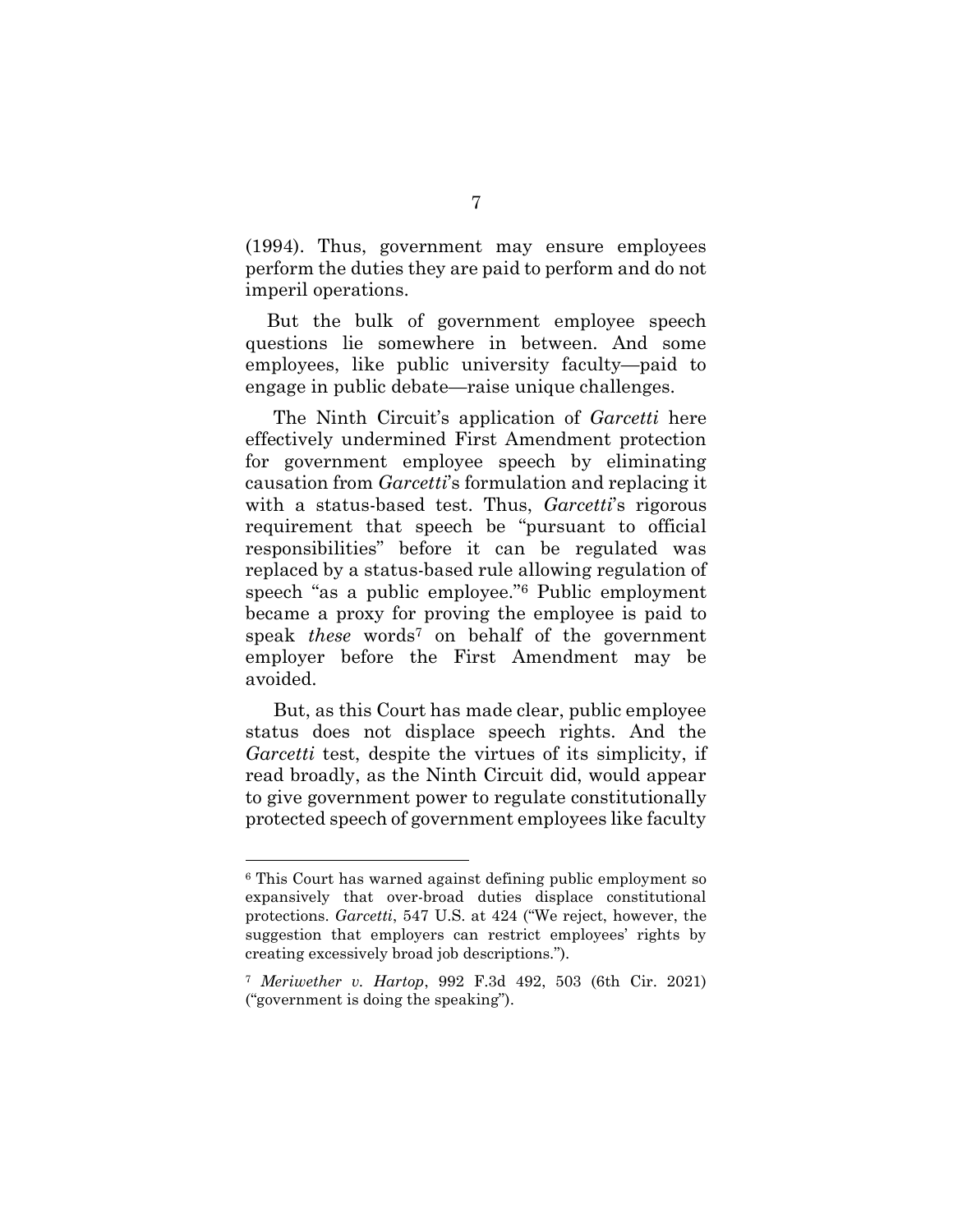(1994). Thus, government may ensure employees perform the duties they are paid to perform and do not imperil operations.

But the bulk of government employee speech questions lie somewhere in between. And some employees, like public university faculty—paid to engage in public debate—raise unique challenges.

The Ninth Circuit's application of *Garcetti* here effectively undermined First Amendment protection for government employee speech by eliminating causation from Garcetti's formulation and replacing it with a status-based test. Thus, *Garcetti's* rigorous requirement that speech be "pursuant to official responsibilities" before it can be regulated was replaced by a status-based rule allowing regulation of speech "as a public employee."6 Public employment became a proxy for proving the employee is paid to speak *these* words<sup>7</sup> on behalf of the government employer before the First Amendment may be avoided.

But, as this Court has made clear, public employee status does not displace speech rights. And the Garcetti test, despite the virtues of its simplicity, if read broadly, as the Ninth Circuit did, would appear to give government power to regulate constitutionally protected speech of government employees like faculty

<sup>6</sup> This Court has warned against defining public employment so expansively that over-broad duties displace constitutional protections. Garcetti, 547 U.S. at 424 ("We reject, however, the suggestion that employers can restrict employees' rights by creating excessively broad job descriptions.").

<sup>7</sup> Meriwether v. Hartop, 992 F.3d 492, 503 (6th Cir. 2021) ("government is doing the speaking").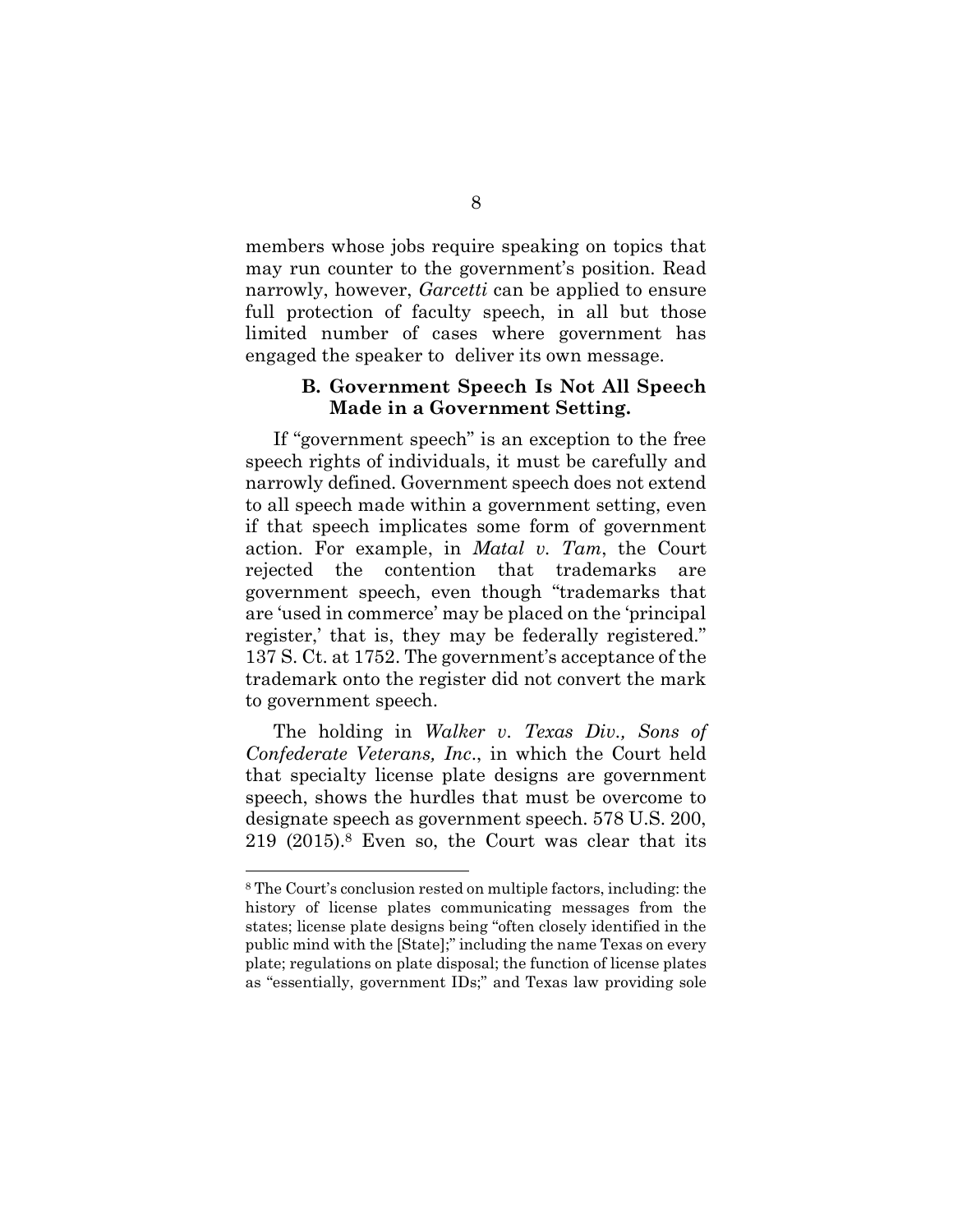members whose jobs require speaking on topics that may run counter to the government's position. Read narrowly, however, *Garcetti* can be applied to ensure full protection of faculty speech, in all but those limited number of cases where government has engaged the speaker to deliver its own message.

#### B. Government Speech Is Not All Speech Made in a Government Setting.

If "government speech" is an exception to the free speech rights of individuals, it must be carefully and narrowly defined. Government speech does not extend to all speech made within a government setting, even if that speech implicates some form of government action. For example, in Matal v. Tam, the Court rejected the contention that trademarks are government speech, even though "trademarks that are 'used in commerce' may be placed on the 'principal register,' that is, they may be federally registered." 137 S. Ct. at 1752. The government's acceptance of the trademark onto the register did not convert the mark to government speech.

The holding in Walker v. Texas Div., Sons of Confederate Veterans, Inc., in which the Court held that specialty license plate designs are government speech, shows the hurdles that must be overcome to designate speech as government speech. 578 U.S. 200, 219 (2015).8 Even so, the Court was clear that its

<sup>8</sup> The Court's conclusion rested on multiple factors, including: the history of license plates communicating messages from the states; license plate designs being "often closely identified in the public mind with the [State];" including the name Texas on every plate; regulations on plate disposal; the function of license plates as "essentially, government IDs;" and Texas law providing sole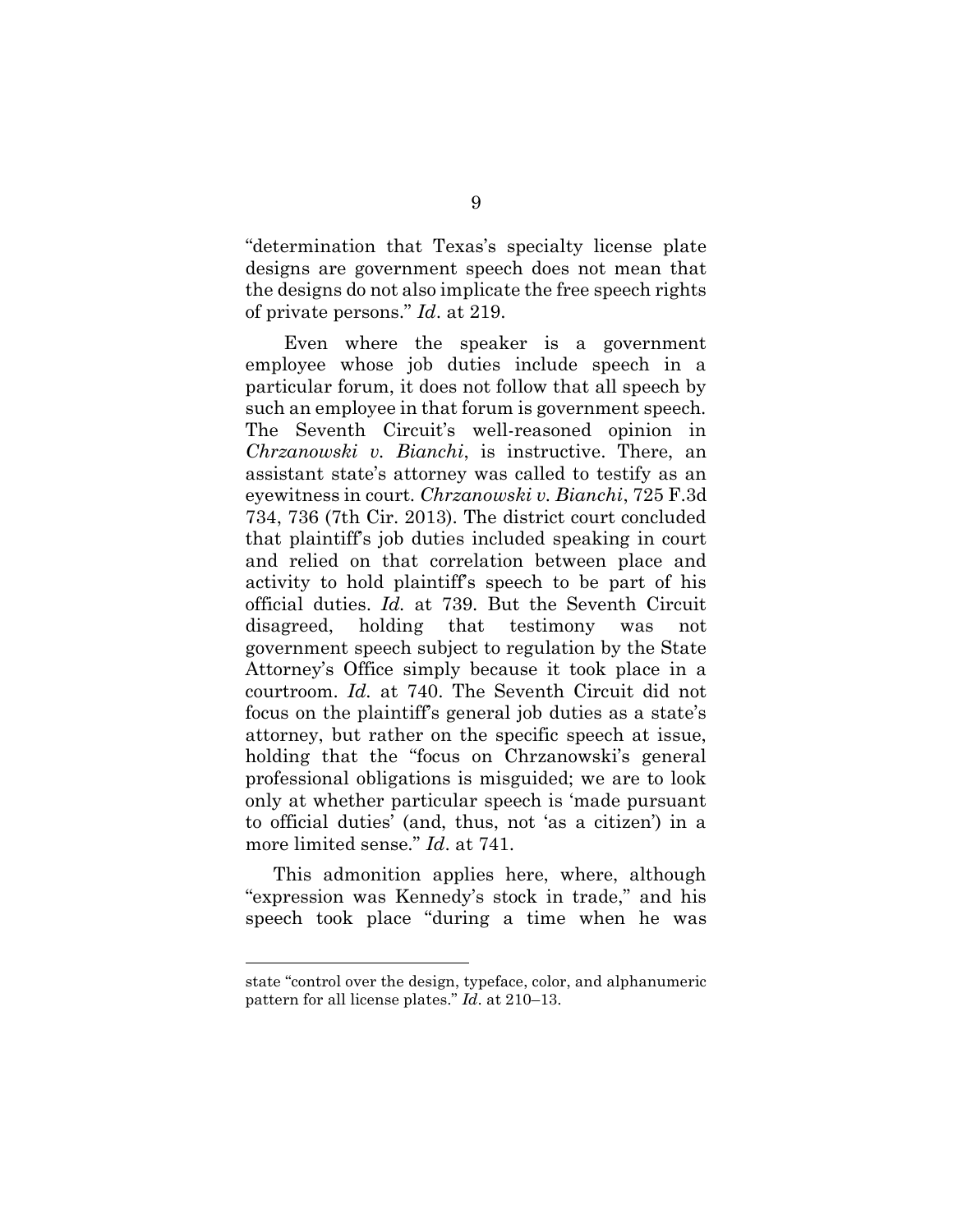"determination that Texas's specialty license plate designs are government speech does not mean that the designs do not also implicate the free speech rights of private persons." Id. at 219.

 Even where the speaker is a government employee whose job duties include speech in a particular forum, it does not follow that all speech by such an employee in that forum is government speech. The Seventh Circuit's well-reasoned opinion in Chrzanowski v. Bianchi, is instructive. There, an assistant state's attorney was called to testify as an eyewitness in court. Chrzanowski v. Bianchi, 725 F.3d 734, 736 (7th Cir. 2013). The district court concluded that plaintiff's job duties included speaking in court and relied on that correlation between place and activity to hold plaintiff's speech to be part of his official duties. Id. at 739. But the Seventh Circuit disagreed, holding that testimony was not government speech subject to regulation by the State Attorney's Office simply because it took place in a courtroom. Id. at 740. The Seventh Circuit did not focus on the plaintiff's general job duties as a state's attorney, but rather on the specific speech at issue, holding that the "focus on Chrzanowski's general professional obligations is misguided; we are to look only at whether particular speech is 'made pursuant to official duties' (and, thus, not 'as a citizen') in a more limited sense." *Id.* at 741.

This admonition applies here, where, although "expression was Kennedy's stock in trade," and his speech took place "during a time when he was

state "control over the design, typeface, color, and alphanumeric pattern for all license plates." Id. at 210–13.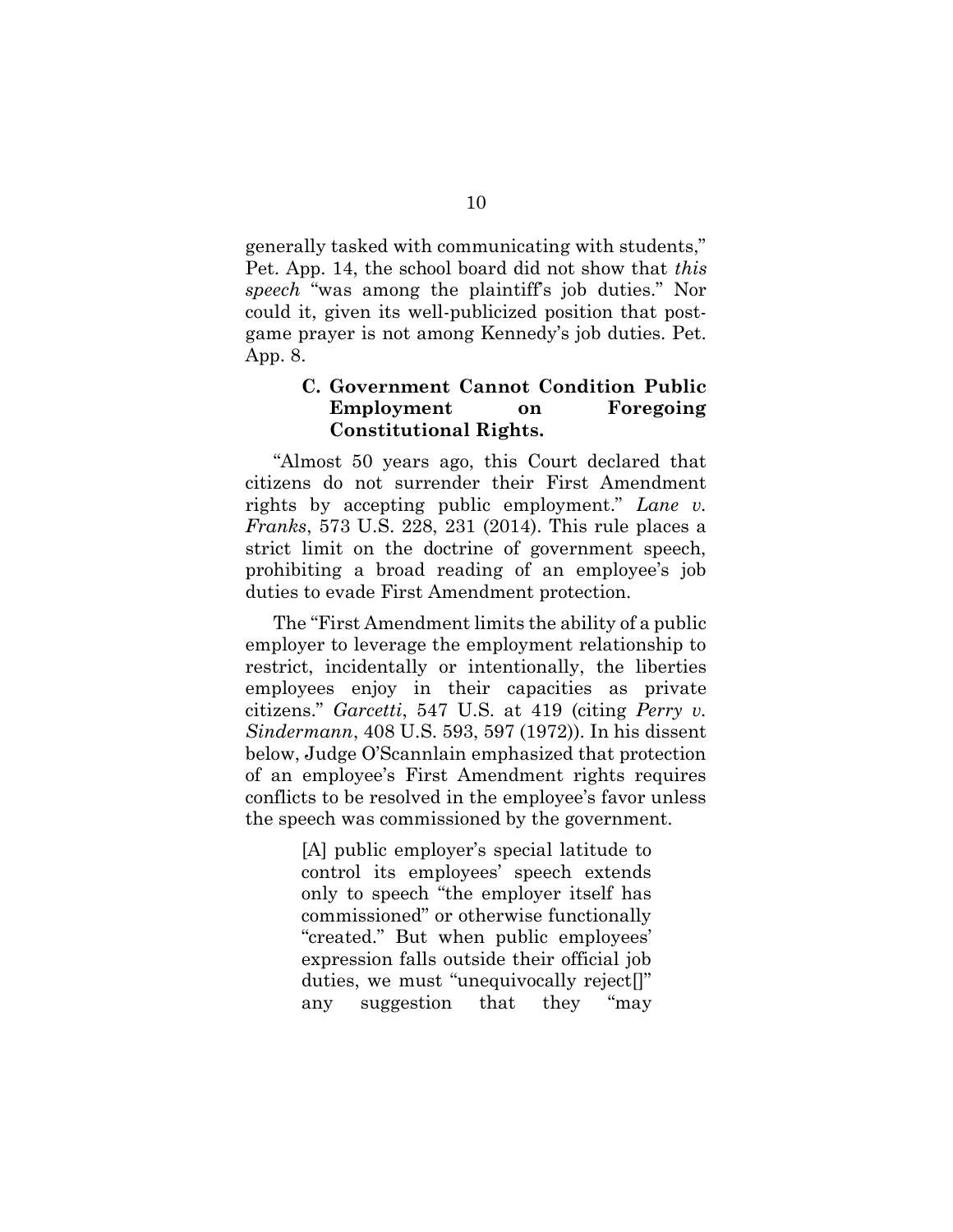generally tasked with communicating with students," Pet. App. 14, the school board did not show that this speech "was among the plaintiff's job duties." Nor could it, given its well-publicized position that postgame prayer is not among Kennedy's job duties. Pet. App. 8.

#### C. Government Cannot Condition Public Employment on Foregoing Constitutional Rights.

"Almost 50 years ago, this Court declared that citizens do not surrender their First Amendment rights by accepting public employment." Lane v. Franks, 573 U.S. 228, 231 (2014). This rule places a strict limit on the doctrine of government speech, prohibiting a broad reading of an employee's job duties to evade First Amendment protection.

The "First Amendment limits the ability of a public employer to leverage the employment relationship to restrict, incidentally or intentionally, the liberties employees enjoy in their capacities as private citizens." Garcetti, 547 U.S. at 419 (citing Perry v. Sindermann, 408 U.S. 593, 597 (1972)). In his dissent below, Judge O'Scannlain emphasized that protection of an employee's First Amendment rights requires conflicts to be resolved in the employee's favor unless the speech was commissioned by the government.

> [A] public employer's special latitude to control its employees' speech extends only to speech "the employer itself has commissioned" or otherwise functionally "created." But when public employees' expression falls outside their official job duties, we must "unequivocally reject[]" any suggestion that they "may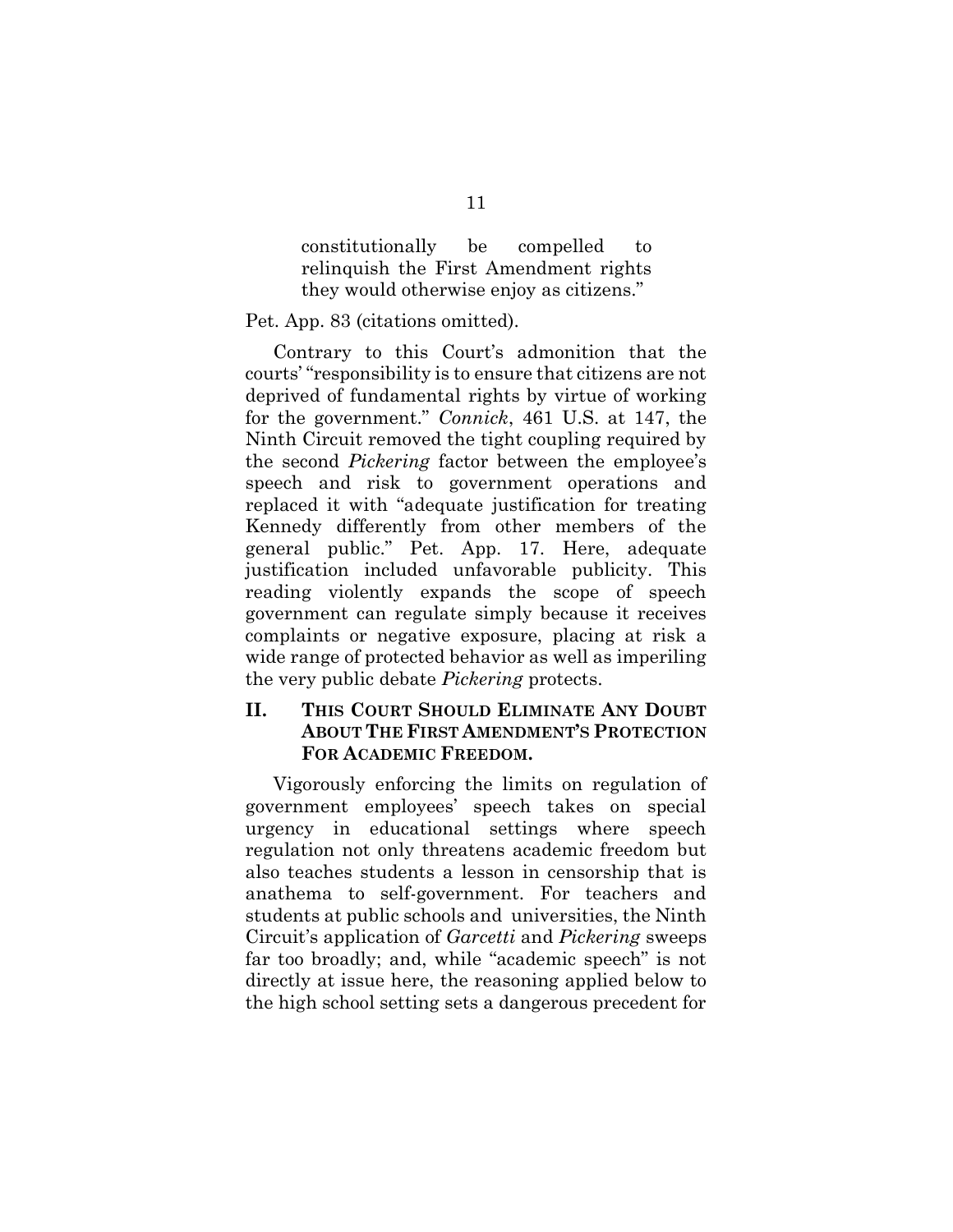constitutionally be compelled to relinquish the First Amendment rights they would otherwise enjoy as citizens."

Pet. App. 83 (citations omitted).

Contrary to this Court's admonition that the courts' "responsibility is to ensure that citizens are not deprived of fundamental rights by virtue of working for the government." Connick, 461 U.S. at 147, the Ninth Circuit removed the tight coupling required by the second Pickering factor between the employee's speech and risk to government operations and replaced it with "adequate justification for treating Kennedy differently from other members of the general public." Pet. App. 17. Here, adequate justification included unfavorable publicity. This reading violently expands the scope of speech government can regulate simply because it receives complaints or negative exposure, placing at risk a wide range of protected behavior as well as imperiling the very public debate Pickering protects.

### II. THIS COURT SHOULD ELIMINATE ANY DOUBT ABOUT THE FIRST AMENDMENT'S PROTECTION FOR ACADEMIC FREEDOM.

Vigorously enforcing the limits on regulation of government employees' speech takes on special urgency in educational settings where speech regulation not only threatens academic freedom but also teaches students a lesson in censorship that is anathema to self-government. For teachers and students at public schools and universities, the Ninth Circuit's application of Garcetti and Pickering sweeps far too broadly; and, while "academic speech" is not directly at issue here, the reasoning applied below to the high school setting sets a dangerous precedent for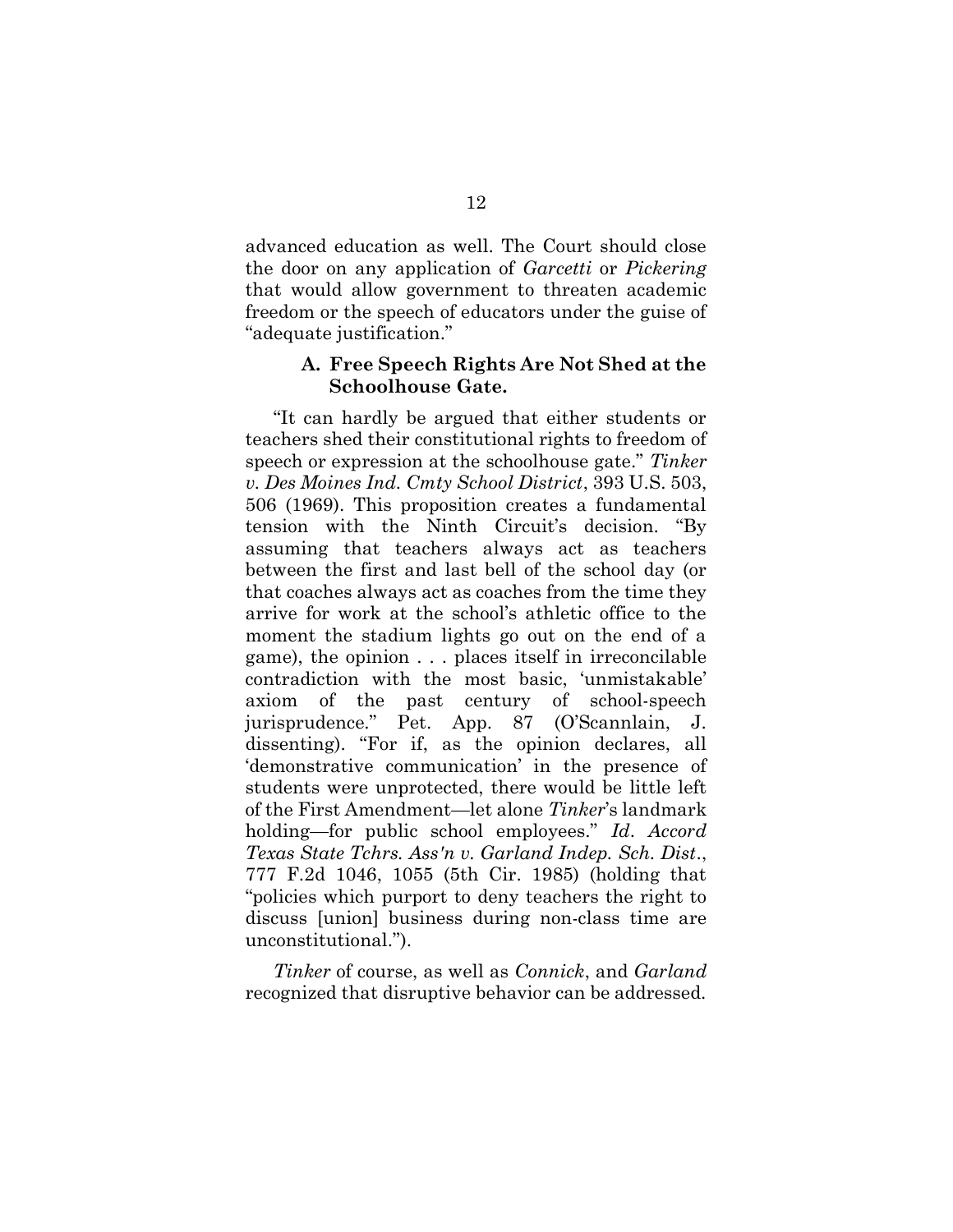advanced education as well. The Court should close the door on any application of Garcetti or Pickering that would allow government to threaten academic freedom or the speech of educators under the guise of "adequate justification."

#### A. Free Speech Rights Are Not Shed at the Schoolhouse Gate.

"It can hardly be argued that either students or teachers shed their constitutional rights to freedom of speech or expression at the schoolhouse gate." Tinker v. Des Moines Ind. Cmty School District, 393 U.S. 503, 506 (1969). This proposition creates a fundamental tension with the Ninth Circuit's decision. "By assuming that teachers always act as teachers between the first and last bell of the school day (or that coaches always act as coaches from the time they arrive for work at the school's athletic office to the moment the stadium lights go out on the end of a game), the opinion . . . places itself in irreconcilable contradiction with the most basic, 'unmistakable' axiom of the past century of school-speech jurisprudence." Pet. App. 87 (O'Scannlain, J. dissenting). "For if, as the opinion declares, all 'demonstrative communication' in the presence of students were unprotected, there would be little left of the First Amendment—let alone Tinker's landmark holding—for public school employees." Id. Accord Texas State Tchrs. Ass'n v. Garland Indep. Sch. Dist., 777 F.2d 1046, 1055 (5th Cir. 1985) (holding that "policies which purport to deny teachers the right to discuss [union] business during non-class time are unconstitutional.").

Tinker of course, as well as Connick, and Garland recognized that disruptive behavior can be addressed.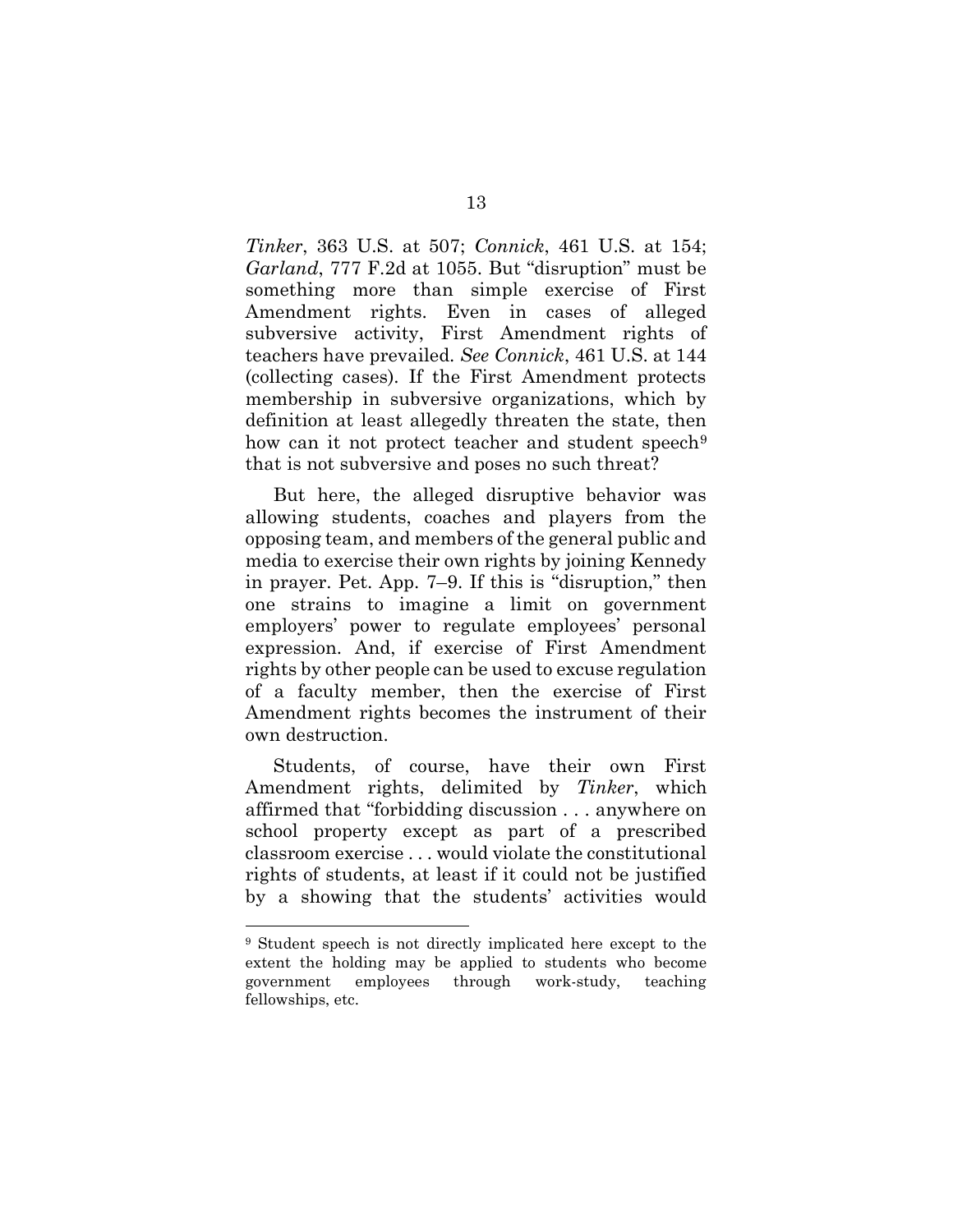Tinker, 363 U.S. at 507; Connick, 461 U.S. at 154; Garland, 777 F.2d at 1055. But "disruption" must be something more than simple exercise of First Amendment rights. Even in cases of alleged subversive activity, First Amendment rights of teachers have prevailed. See Connick, 461 U.S. at 144 (collecting cases). If the First Amendment protects membership in subversive organizations, which by definition at least allegedly threaten the state, then how can it not protect teacher and student speech<sup>9</sup> that is not subversive and poses no such threat?

But here, the alleged disruptive behavior was allowing students, coaches and players from the opposing team, and members of the general public and media to exercise their own rights by joining Kennedy in prayer. Pet. App. 7–9. If this is "disruption," then one strains to imagine a limit on government employers' power to regulate employees' personal expression. And, if exercise of First Amendment rights by other people can be used to excuse regulation of a faculty member, then the exercise of First Amendment rights becomes the instrument of their own destruction.

Students, of course, have their own First Amendment rights, delimited by Tinker, which affirmed that "forbidding discussion . . . anywhere on school property except as part of a prescribed classroom exercise . . . would violate the constitutional rights of students, at least if it could not be justified by a showing that the students' activities would

<sup>9</sup> Student speech is not directly implicated here except to the extent the holding may be applied to students who become government employees through work-study, teaching fellowships, etc.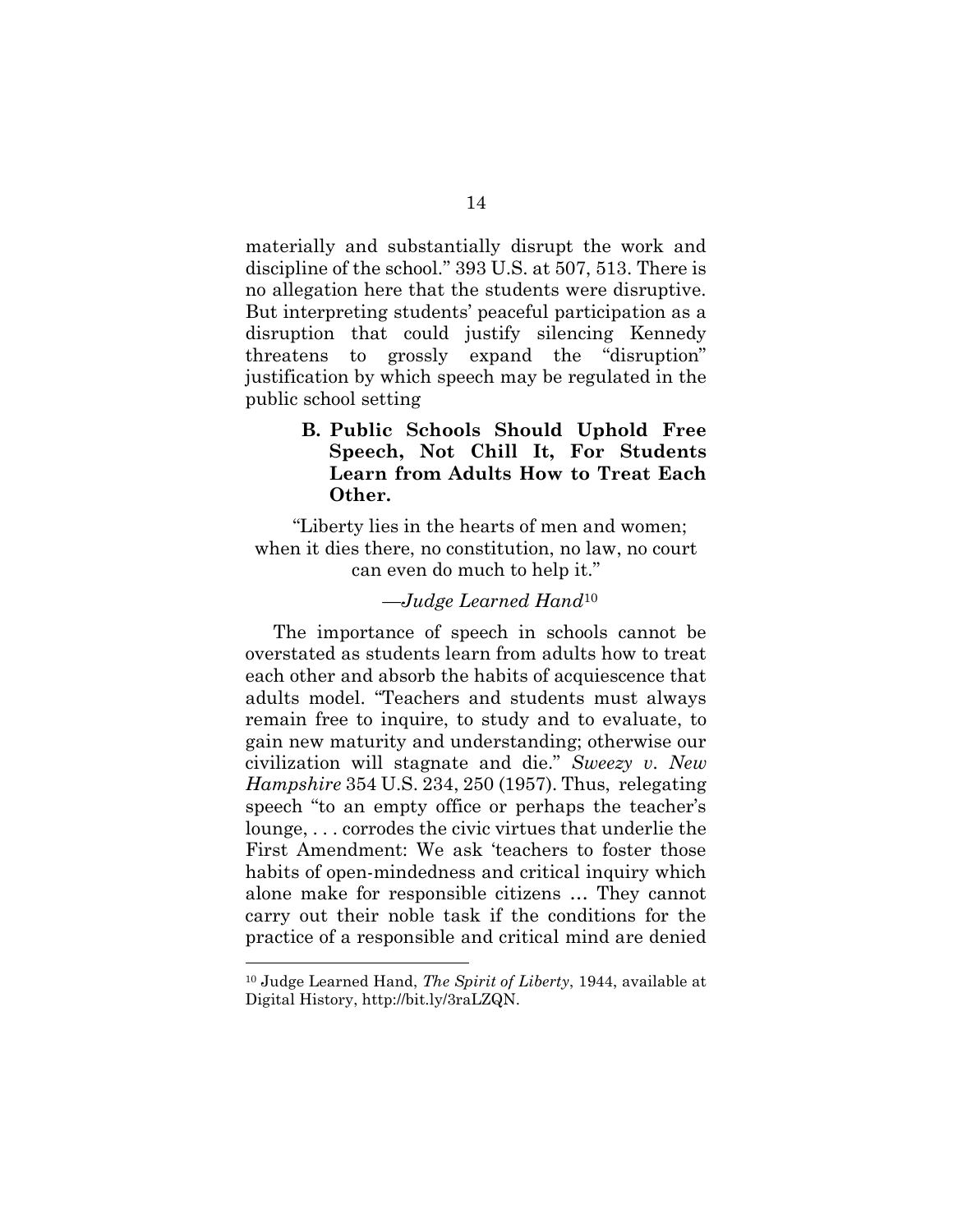materially and substantially disrupt the work and discipline of the school." 393 U.S. at 507, 513. There is no allegation here that the students were disruptive. But interpreting students' peaceful participation as a disruption that could justify silencing Kennedy threatens to grossly expand the "disruption" justification by which speech may be regulated in the public school setting

### B. Public Schools Should Uphold Free Speech, Not Chill It, For Students Learn from Adults How to Treat Each Other.

"Liberty lies in the hearts of men and women; when it dies there, no constitution, no law, no court can even do much to help it."

#### —Judge Learned Hand<sup>10</sup>

The importance of speech in schools cannot be overstated as students learn from adults how to treat each other and absorb the habits of acquiescence that adults model. "Teachers and students must always remain free to inquire, to study and to evaluate, to gain new maturity and understanding; otherwise our civilization will stagnate and die." Sweezy v. New Hampshire 354 U.S. 234, 250 (1957). Thus, relegating speech "to an empty office or perhaps the teacher's lounge, . . . corrodes the civic virtues that underlie the First Amendment: We ask 'teachers to foster those habits of open-mindedness and critical inquiry which alone make for responsible citizens … They cannot carry out their noble task if the conditions for the practice of a responsible and critical mind are denied

 $10$  Judge Learned Hand, The Spirit of Liberty, 1944, available at Digital History, http://bit.ly/3raLZQN.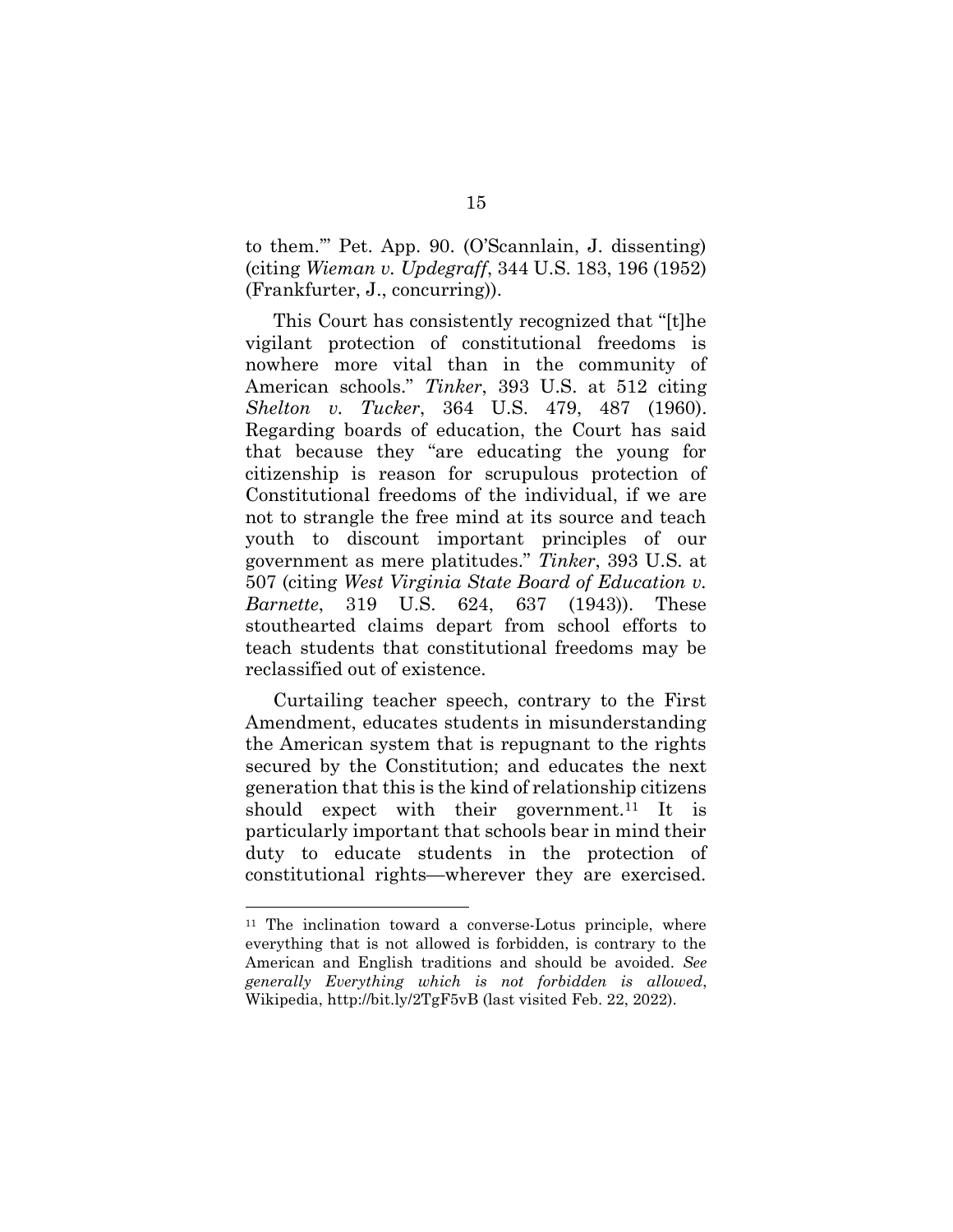to them.'" Pet. App. 90. (O'Scannlain, J. dissenting) (citing Wieman v. Updegraff, 344 U.S. 183, 196 (1952) (Frankfurter, J., concurring)).

This Court has consistently recognized that "[t]he vigilant protection of constitutional freedoms is nowhere more vital than in the community of American schools." Tinker, 393 U.S. at 512 citing Shelton v. Tucker, 364 U.S. 479, 487 (1960). Regarding boards of education, the Court has said that because they "are educating the young for citizenship is reason for scrupulous protection of Constitutional freedoms of the individual, if we are not to strangle the free mind at its source and teach youth to discount important principles of our government as mere platitudes." Tinker, 393 U.S. at 507 (citing West Virginia State Board of Education v. Barnette, 319 U.S. 624, 637 (1943)). These stouthearted claims depart from school efforts to teach students that constitutional freedoms may be reclassified out of existence.

Curtailing teacher speech, contrary to the First Amendment, educates students in misunderstanding the American system that is repugnant to the rights secured by the Constitution; and educates the next generation that this is the kind of relationship citizens should expect with their government.<sup>11</sup> It is particularly important that schools bear in mind their duty to educate students in the protection of constitutional rights—wherever they are exercised.

<sup>&</sup>lt;sup>11</sup> The inclination toward a converse-Lotus principle, where everything that is not allowed is forbidden, is contrary to the American and English traditions and should be avoided. See generally Everything which is not forbidden is allowed, Wikipedia, http://bit.ly/2TgF5vB (last visited Feb. 22, 2022).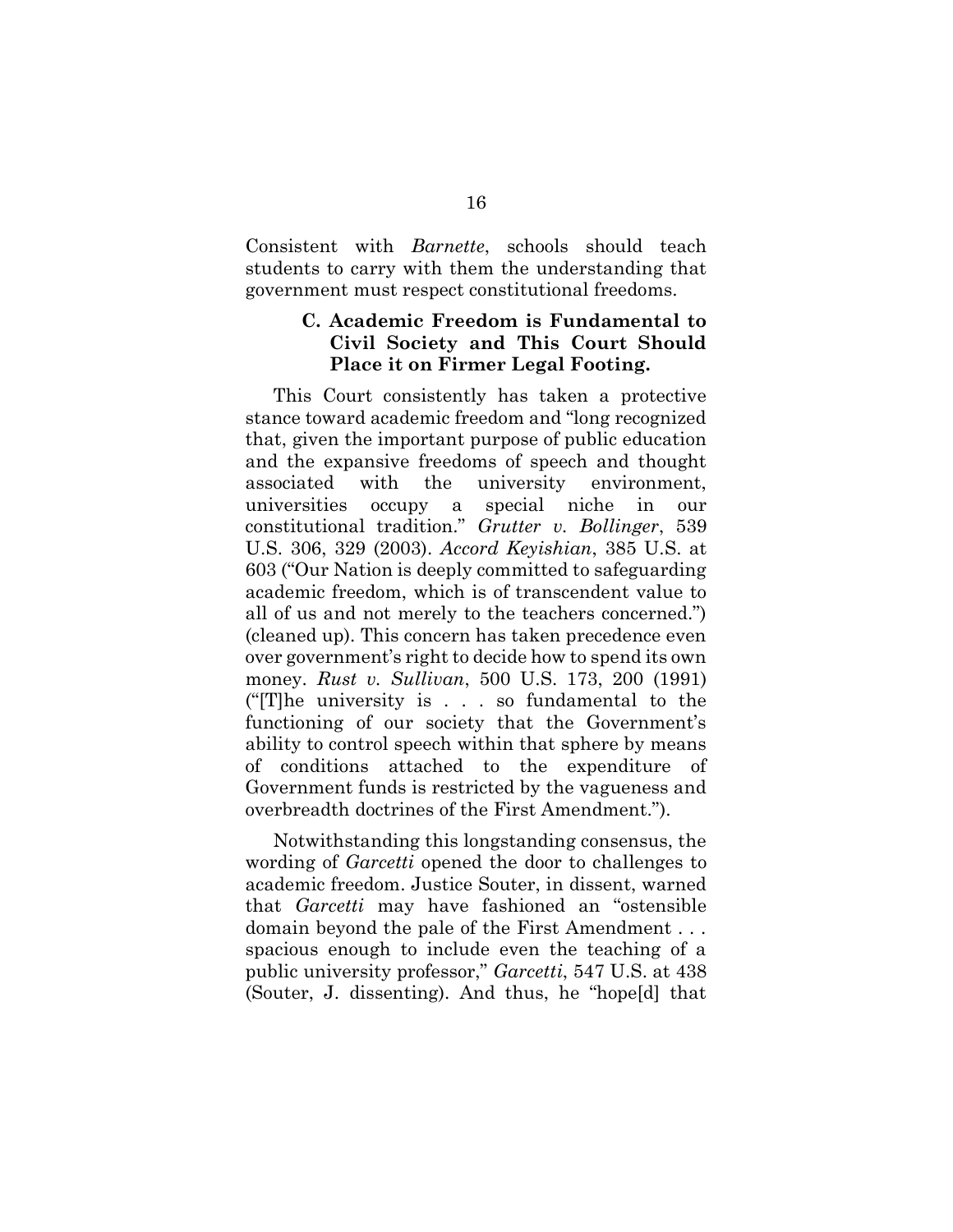Consistent with Barnette, schools should teach students to carry with them the understanding that government must respect constitutional freedoms.

### C. Academic Freedom is Fundamental to Civil Society and This Court Should Place it on Firmer Legal Footing.

This Court consistently has taken a protective stance toward academic freedom and "long recognized that, given the important purpose of public education and the expansive freedoms of speech and thought associated with the university environment, universities occupy a special niche in our constitutional tradition." Grutter v. Bollinger, 539 U.S. 306, 329 (2003). Accord Keyishian, 385 U.S. at 603 ("Our Nation is deeply committed to safeguarding academic freedom, which is of transcendent value to all of us and not merely to the teachers concerned.") (cleaned up). This concern has taken precedence even over government's right to decide how to spend its own money. Rust v. Sullivan, 500 U.S. 173, 200 (1991) ("[T]he university is . . . so fundamental to the functioning of our society that the Government's ability to control speech within that sphere by means of conditions attached to the expenditure of Government funds is restricted by the vagueness and overbreadth doctrines of the First Amendment.").

Notwithstanding this longstanding consensus, the wording of Garcetti opened the door to challenges to academic freedom. Justice Souter, in dissent, warned that Garcetti may have fashioned an "ostensible domain beyond the pale of the First Amendment . . . spacious enough to include even the teaching of a public university professor," Garcetti, 547 U.S. at 438 (Souter, J. dissenting). And thus, he "hope[d] that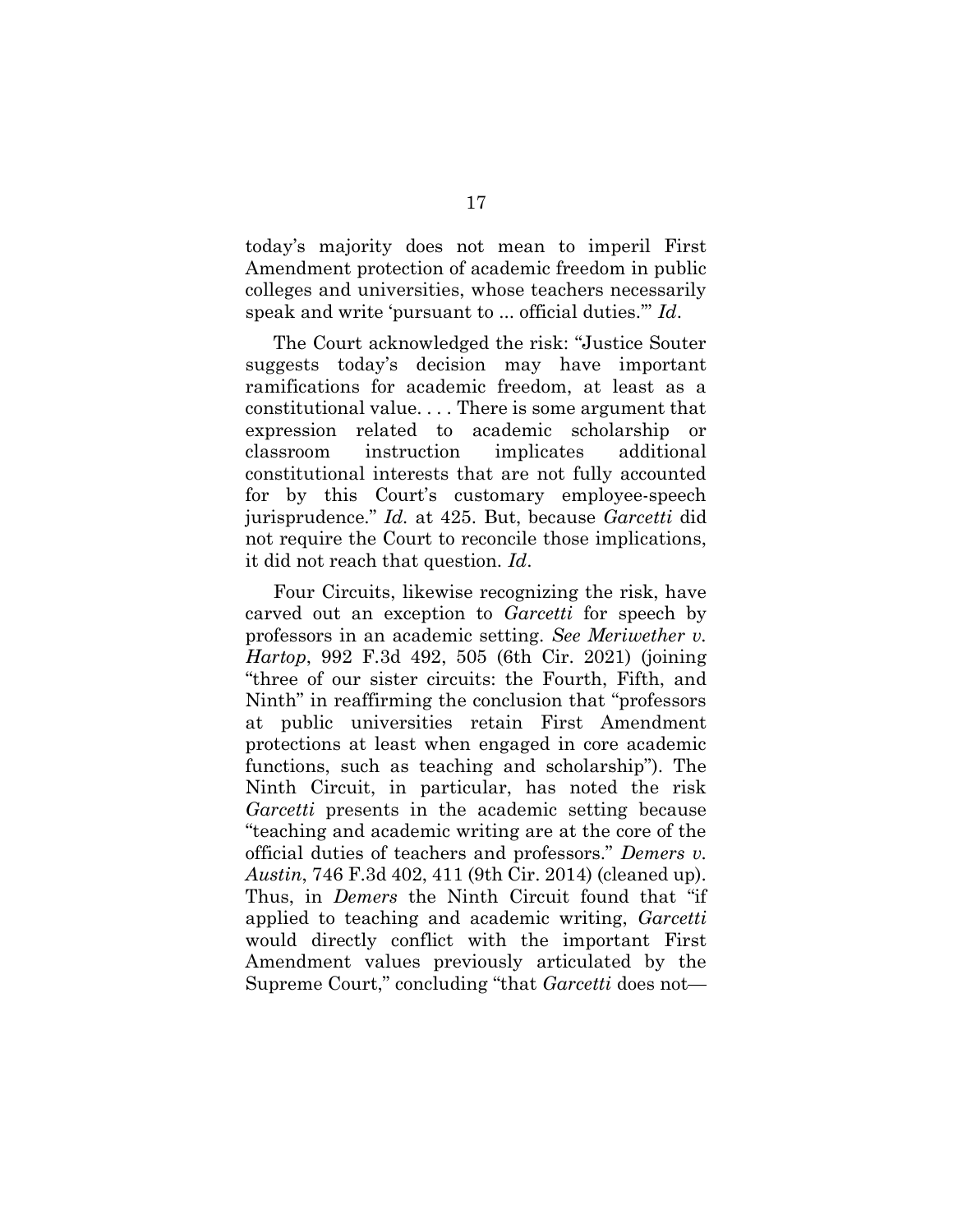today's majority does not mean to imperil First Amendment protection of academic freedom in public colleges and universities, whose teachers necessarily speak and write 'pursuant to ... official duties.'" Id.

The Court acknowledged the risk: "Justice Souter suggests today's decision may have important ramifications for academic freedom, at least as a constitutional value. . . . There is some argument that expression related to academic scholarship or classroom instruction implicates additional constitutional interests that are not fully accounted for by this Court's customary employee-speech jurisprudence." Id. at 425. But, because Garcetti did not require the Court to reconcile those implications, it did not reach that question. Id.

Four Circuits, likewise recognizing the risk, have carved out an exception to *Garcetti* for speech by professors in an academic setting. See Meriwether v. Hartop, 992 F.3d 492, 505 (6th Cir. 2021) (joining "three of our sister circuits: the Fourth, Fifth, and Ninth" in reaffirming the conclusion that "professors at public universities retain First Amendment protections at least when engaged in core academic functions, such as teaching and scholarship"). The Ninth Circuit, in particular, has noted the risk Garcetti presents in the academic setting because "teaching and academic writing are at the core of the official duties of teachers and professors." Demers v. Austin, 746 F.3d 402, 411 (9th Cir. 2014) (cleaned up). Thus, in *Demers* the Ninth Circuit found that "if applied to teaching and academic writing, Garcetti would directly conflict with the important First Amendment values previously articulated by the Supreme Court," concluding "that Garcetti does not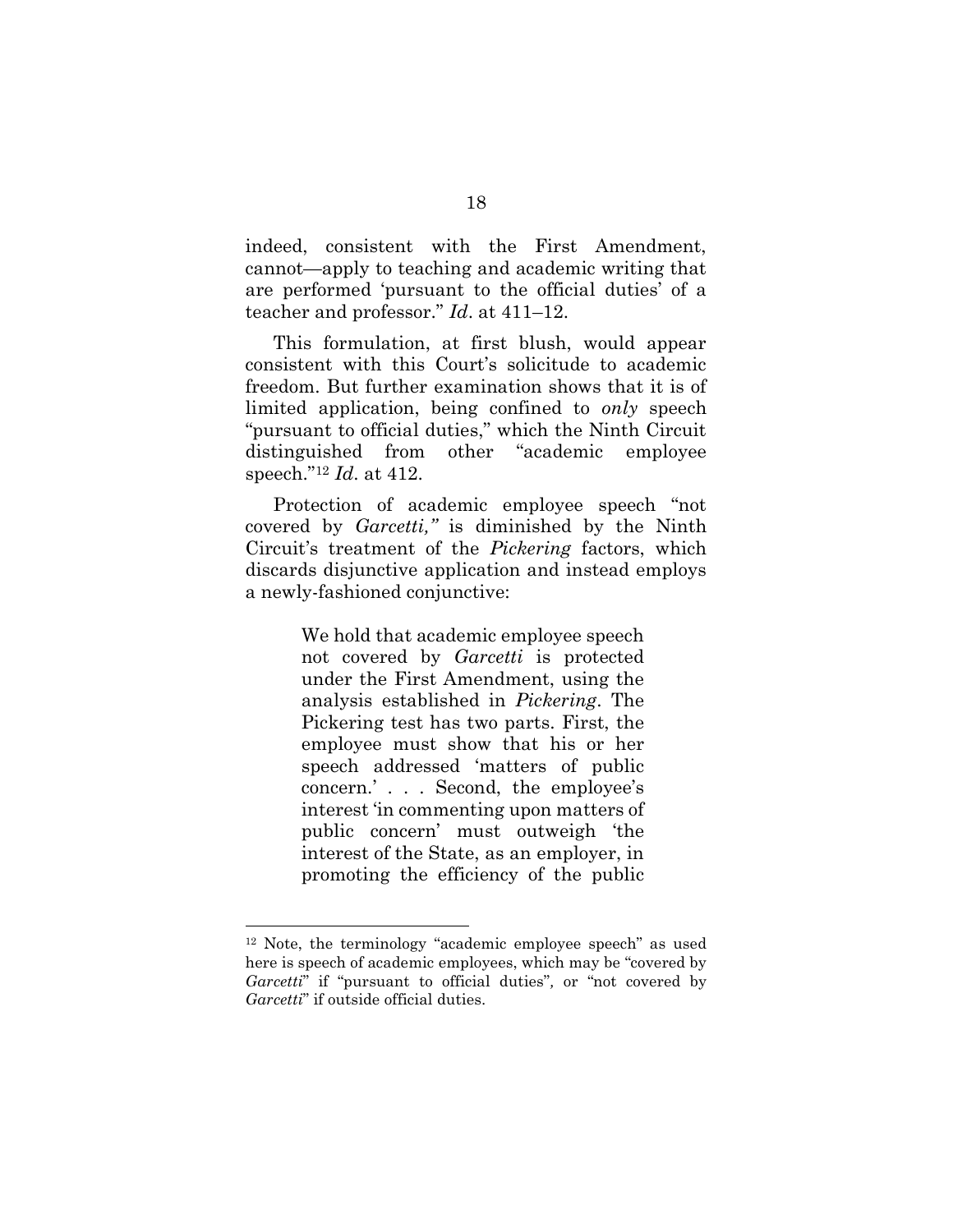indeed, consistent with the First Amendment, cannot—apply to teaching and academic writing that are performed 'pursuant to the official duties' of a teacher and professor." Id. at 411–12.

This formulation, at first blush, would appear consistent with this Court's solicitude to academic freedom. But further examination shows that it is of limited application, being confined to only speech "pursuant to official duties," which the Ninth Circuit distinguished from other "academic employee speech."<sup>12</sup> Id. at 412.

Protection of academic employee speech "not covered by *Garcetti*," is diminished by the Ninth Circuit's treatment of the Pickering factors, which discards disjunctive application and instead employs a newly-fashioned conjunctive:

> We hold that academic employee speech not covered by *Garcetti* is protected under the First Amendment, using the analysis established in Pickering. The Pickering test has two parts. First, the employee must show that his or her speech addressed 'matters of public concern.' . . . Second, the employee's interest 'in commenting upon matters of public concern' must outweigh 'the interest of the State, as an employer, in promoting the efficiency of the public

<sup>12</sup> Note, the terminology "academic employee speech" as used here is speech of academic employees, which may be "covered by Garcetti" if "pursuant to official duties", or "not covered by Garcetti" if outside official duties.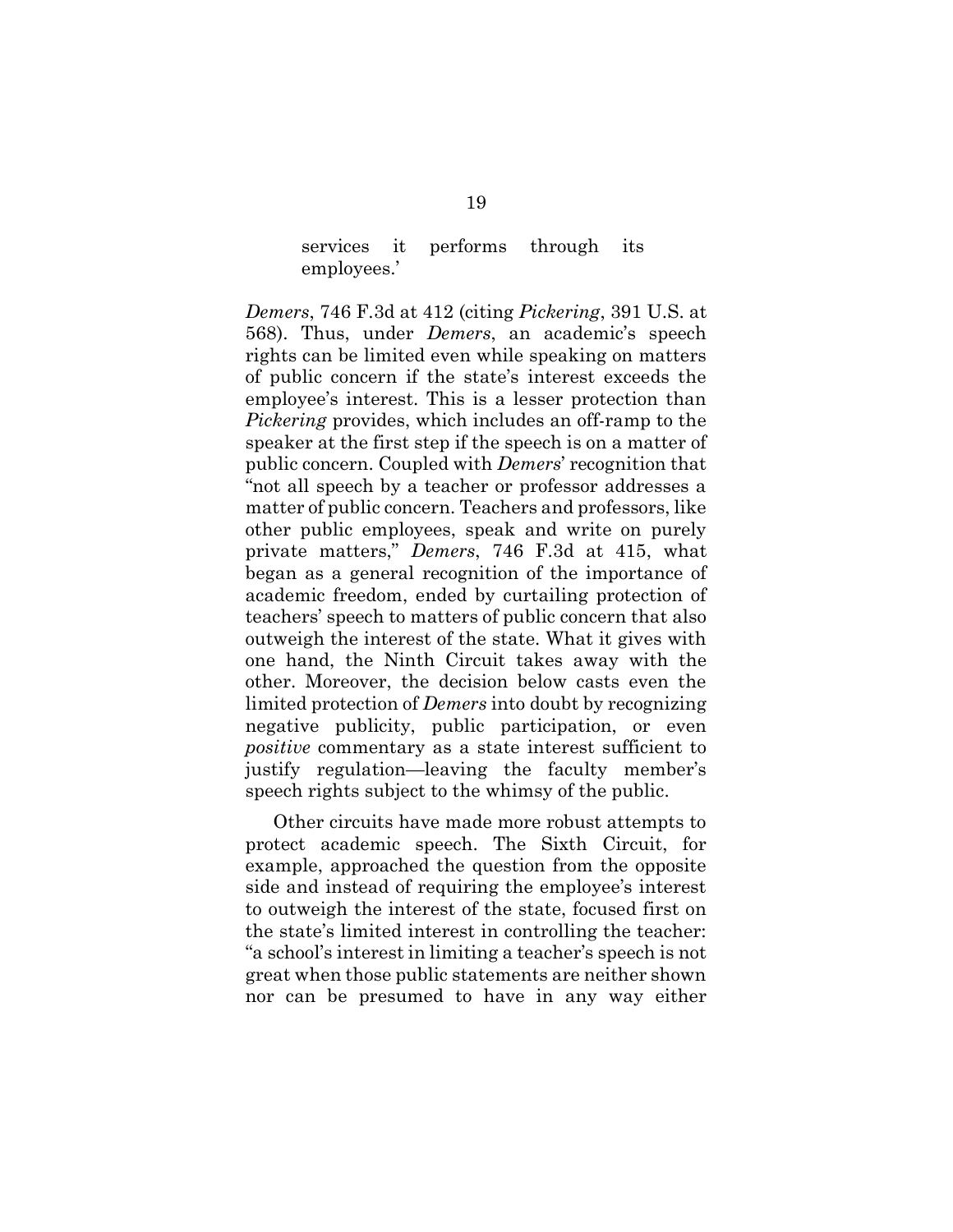services it performs through its employees.'

Demers, 746 F.3d at 412 (citing Pickering, 391 U.S. at 568). Thus, under Demers, an academic's speech rights can be limited even while speaking on matters of public concern if the state's interest exceeds the employee's interest. This is a lesser protection than Pickering provides, which includes an off-ramp to the speaker at the first step if the speech is on a matter of public concern. Coupled with Demers' recognition that "not all speech by a teacher or professor addresses a matter of public concern. Teachers and professors, like other public employees, speak and write on purely private matters," Demers, 746 F.3d at 415, what began as a general recognition of the importance of academic freedom, ended by curtailing protection of teachers' speech to matters of public concern that also outweigh the interest of the state. What it gives with one hand, the Ninth Circuit takes away with the other. Moreover, the decision below casts even the limited protection of Demers into doubt by recognizing negative publicity, public participation, or even positive commentary as a state interest sufficient to justify regulation—leaving the faculty member's speech rights subject to the whimsy of the public.

Other circuits have made more robust attempts to protect academic speech. The Sixth Circuit, for example, approached the question from the opposite side and instead of requiring the employee's interest to outweigh the interest of the state, focused first on the state's limited interest in controlling the teacher: "a school's interest in limiting a teacher's speech is not great when those public statements are neither shown nor can be presumed to have in any way either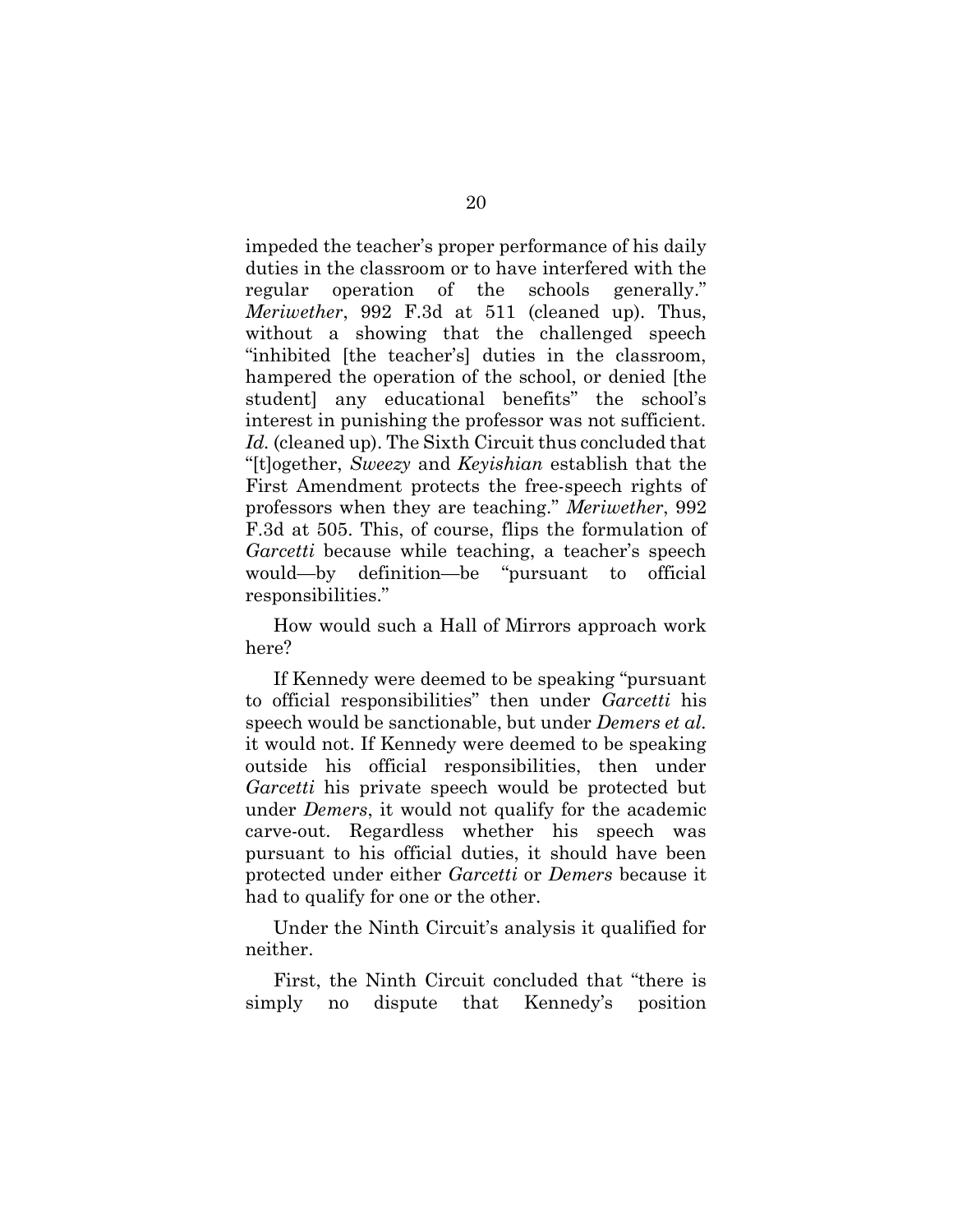impeded the teacher's proper performance of his daily duties in the classroom or to have interfered with the regular operation of the schools generally." Meriwether, 992 F.3d at 511 (cleaned up). Thus, without a showing that the challenged speech "inhibited [the teacher's] duties in the classroom, hampered the operation of the school, or denied [the student] any educational benefits" the school's interest in punishing the professor was not sufficient. Id. (cleaned up). The Sixth Circuit thus concluded that "[t]ogether, Sweezy and Keyishian establish that the First Amendment protects the free-speech rights of professors when they are teaching." Meriwether, 992 F.3d at 505. This, of course, flips the formulation of Garcetti because while teaching, a teacher's speech would—by definition—be "pursuant to official responsibilities."

How would such a Hall of Mirrors approach work here?

If Kennedy were deemed to be speaking "pursuant to official responsibilities" then under Garcetti his speech would be sanctionable, but under Demers et al. it would not. If Kennedy were deemed to be speaking outside his official responsibilities, then under Garcetti his private speech would be protected but under Demers, it would not qualify for the academic carve-out. Regardless whether his speech was pursuant to his official duties, it should have been protected under either Garcetti or Demers because it had to qualify for one or the other.

Under the Ninth Circuit's analysis it qualified for neither.

First, the Ninth Circuit concluded that "there is simply no dispute that Kennedy's position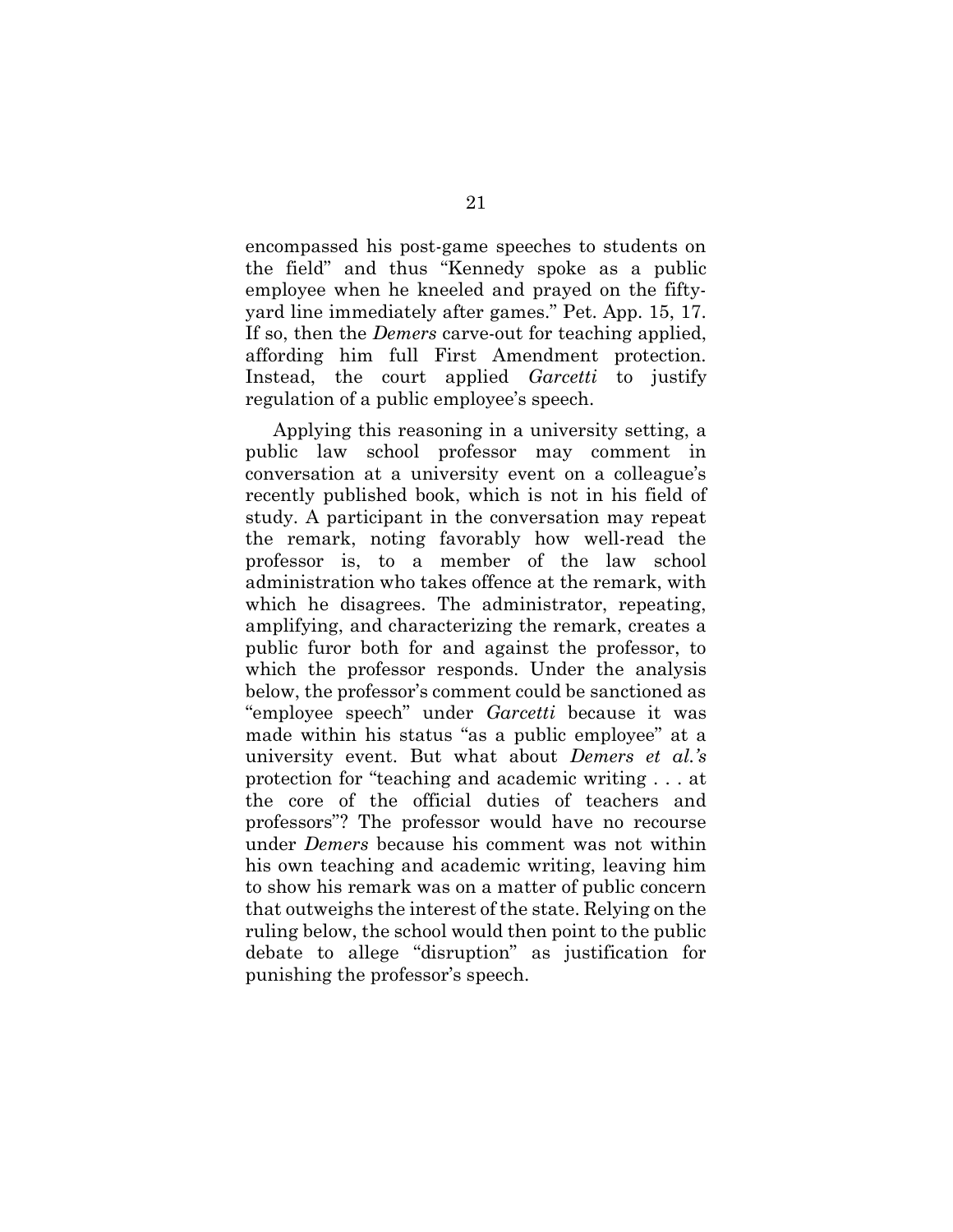encompassed his post-game speeches to students on the field" and thus "Kennedy spoke as a public employee when he kneeled and prayed on the fiftyyard line immediately after games." Pet. App. 15, 17. If so, then the Demers carve-out for teaching applied, affording him full First Amendment protection. Instead, the court applied *Garcetti* to justify regulation of a public employee's speech.

Applying this reasoning in a university setting, a public law school professor may comment in conversation at a university event on a colleague's recently published book, which is not in his field of study. A participant in the conversation may repeat the remark, noting favorably how well-read the professor is, to a member of the law school administration who takes offence at the remark, with which he disagrees. The administrator, repeating, amplifying, and characterizing the remark, creates a public furor both for and against the professor, to which the professor responds. Under the analysis below, the professor's comment could be sanctioned as "employee speech" under Garcetti because it was made within his status "as a public employee" at a university event. But what about Demers et al.'s protection for "teaching and academic writing . . . at the core of the official duties of teachers and professors"? The professor would have no recourse under Demers because his comment was not within his own teaching and academic writing, leaving him to show his remark was on a matter of public concern that outweighs the interest of the state. Relying on the ruling below, the school would then point to the public debate to allege "disruption" as justification for punishing the professor's speech.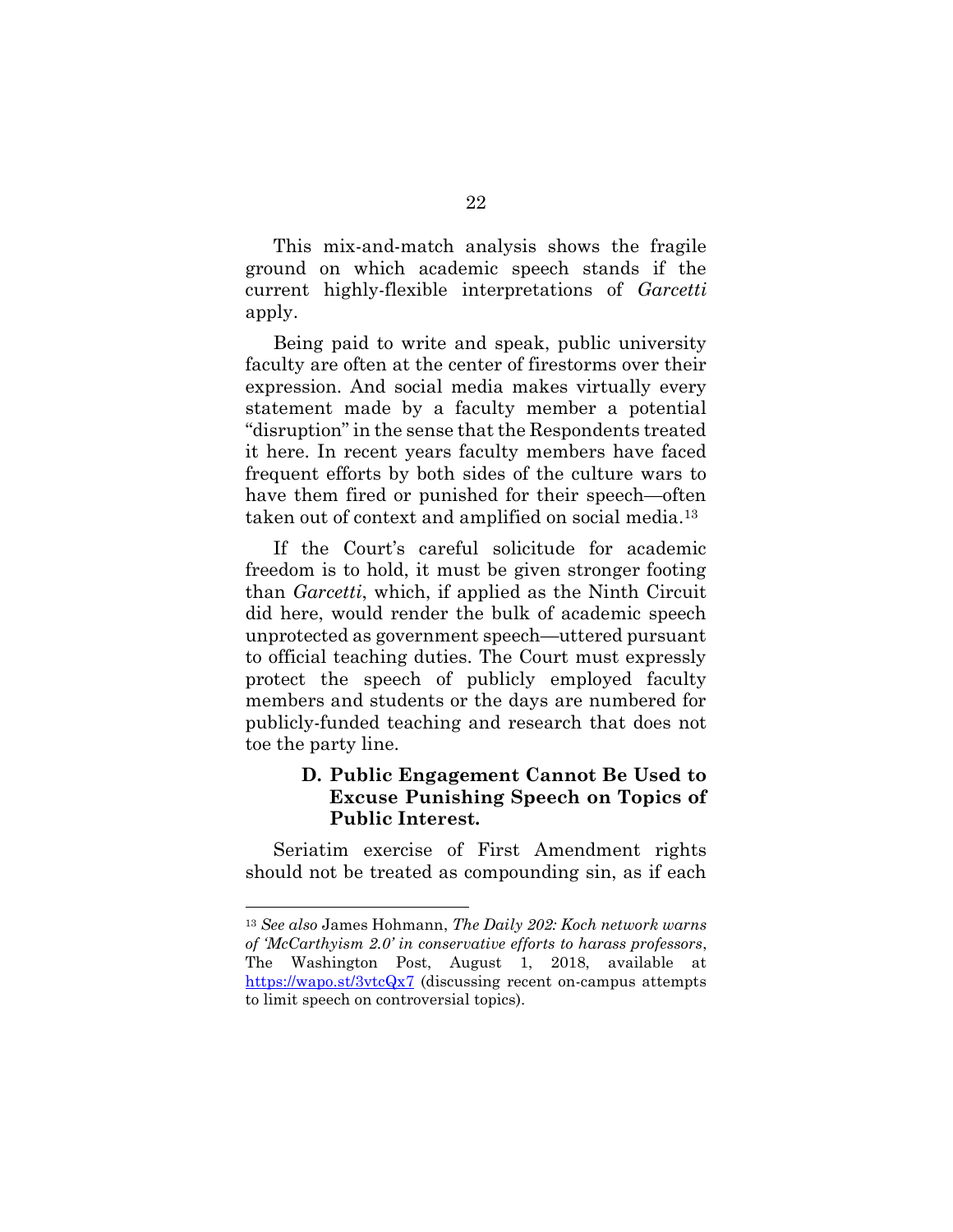This mix-and-match analysis shows the fragile ground on which academic speech stands if the current highly-flexible interpretations of Garcetti apply.

Being paid to write and speak, public university faculty are often at the center of firestorms over their expression. And social media makes virtually every statement made by a faculty member a potential "disruption" in the sense that the Respondents treated it here. In recent years faculty members have faced frequent efforts by both sides of the culture wars to have them fired or punished for their speech—often taken out of context and amplified on social media.<sup>13</sup>

If the Court's careful solicitude for academic freedom is to hold, it must be given stronger footing than Garcetti, which, if applied as the Ninth Circuit did here, would render the bulk of academic speech unprotected as government speech—uttered pursuant to official teaching duties. The Court must expressly protect the speech of publicly employed faculty members and students or the days are numbered for publicly-funded teaching and research that does not toe the party line.

### D. Public Engagement Cannot Be Used to Excuse Punishing Speech on Topics of Public Interest.

Seriatim exercise of First Amendment rights should not be treated as compounding sin, as if each

<sup>13</sup> See also James Hohmann, The Daily 202: Koch network warns of 'McCarthyism 2.0' in conservative efforts to harass professors, The Washington Post, August 1, 2018, available at https://wapo.st/3vtcQx7 (discussing recent on-campus attempts to limit speech on controversial topics).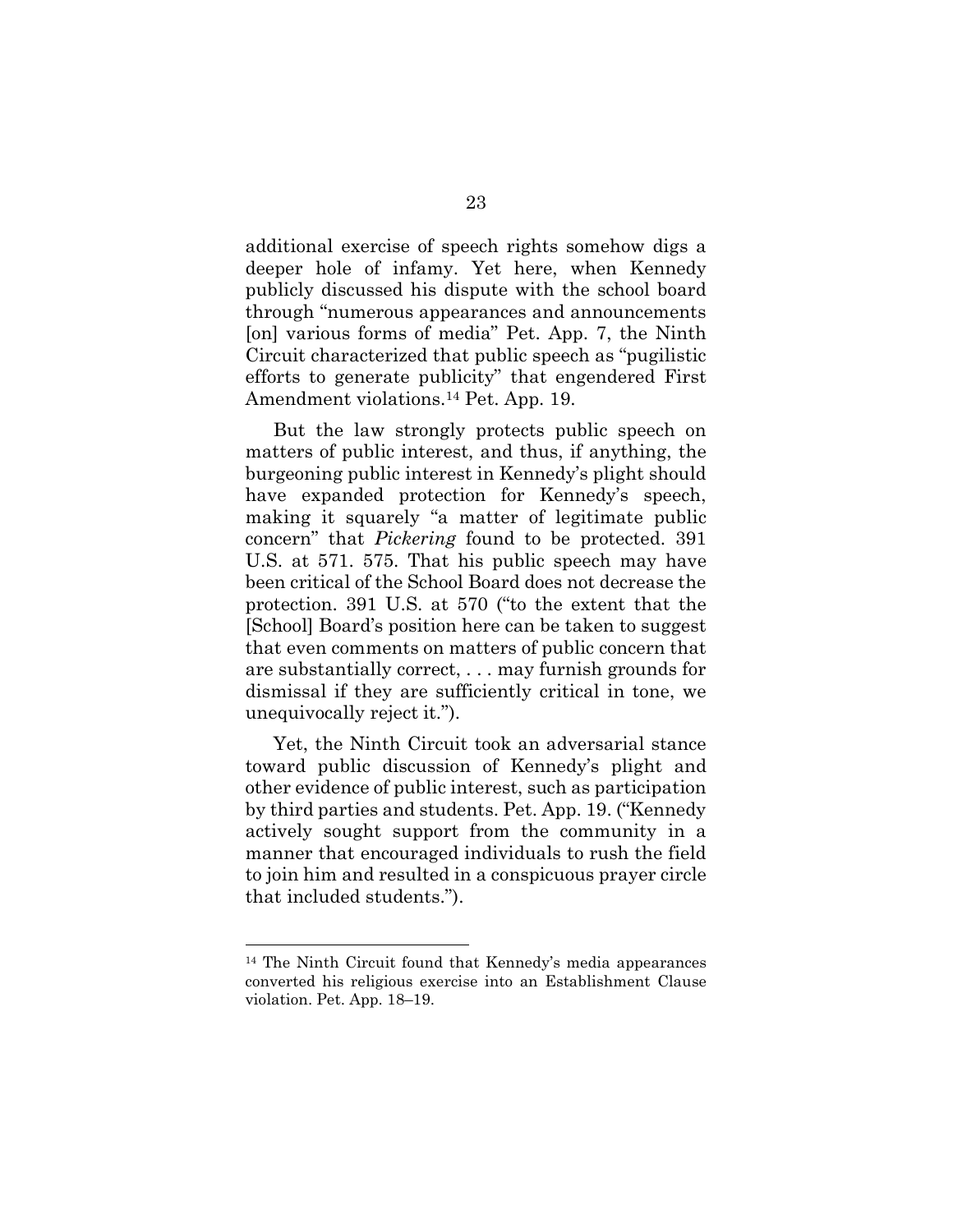additional exercise of speech rights somehow digs a deeper hole of infamy. Yet here, when Kennedy publicly discussed his dispute with the school board through "numerous appearances and announcements [on] various forms of media" Pet. App. 7, the Ninth Circuit characterized that public speech as "pugilistic efforts to generate publicity" that engendered First Amendment violations.<sup>14</sup> Pet. App. 19.

But the law strongly protects public speech on matters of public interest, and thus, if anything, the burgeoning public interest in Kennedy's plight should have expanded protection for Kennedy's speech, making it squarely "a matter of legitimate public concern" that Pickering found to be protected. 391 U.S. at 571. 575. That his public speech may have been critical of the School Board does not decrease the protection. 391 U.S. at 570 ("to the extent that the [School] Board's position here can be taken to suggest that even comments on matters of public concern that are substantially correct, . . . may furnish grounds for dismissal if they are sufficiently critical in tone, we unequivocally reject it.").

Yet, the Ninth Circuit took an adversarial stance toward public discussion of Kennedy's plight and other evidence of public interest, such as participation by third parties and students. Pet. App. 19. ("Kennedy actively sought support from the community in a manner that encouraged individuals to rush the field to join him and resulted in a conspicuous prayer circle that included students.").

<sup>14</sup> The Ninth Circuit found that Kennedy's media appearances converted his religious exercise into an Establishment Clause violation. Pet. App. 18–19.